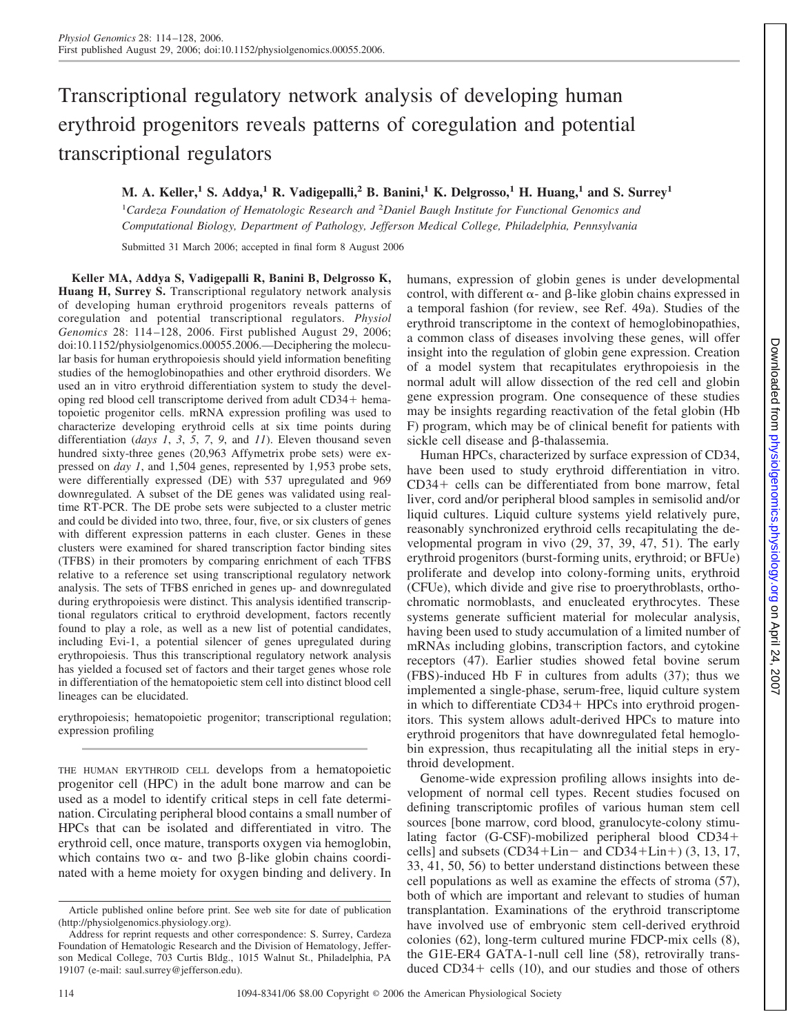# Transcriptional regulatory network analysis of developing human erythroid progenitors reveals patterns of coregulation and potential transcriptional regulators

**M. A. Keller,1 S. Addya,1 R. Vadigepalli,2 B. Banini,1 K. Delgrosso,1 H. Huang,1 and S. Surrey1**

<sup>1</sup>Cardeza Foundation of Hematologic Research and <sup>2</sup>Daniel Baugh Institute for Functional Genomics and *Computational Biology, Department of Pathology, Jefferson Medical College, Philadelphia, Pennsylvania*

Submitted 31 March 2006; accepted in final form 8 August 2006

**Keller MA, Addya S, Vadigepalli R, Banini B, Delgrosso K, Huang H, Surrey S.** Transcriptional regulatory network analysis of developing human erythroid progenitors reveals patterns of coregulation and potential transcriptional regulators. *Physiol Genomics* 28: 114 –128, 2006. First published August 29, 2006; doi:10.1152/physiolgenomics.00055.2006.—Deciphering the molecular basis for human erythropoiesis should yield information benefiting studies of the hemoglobinopathies and other erythroid disorders. We used an in vitro erythroid differentiation system to study the developing red blood cell transcriptome derived from adult CD34+ hematopoietic progenitor cells. mRNA expression profiling was used to characterize developing erythroid cells at six time points during differentiation (*days 1*, *3*, *5*, *7*, *9*, and *11*). Eleven thousand seven hundred sixty-three genes (20,963 Affymetrix probe sets) were expressed on *day 1*, and 1,504 genes, represented by 1,953 probe sets, were differentially expressed (DE) with 537 upregulated and 969 downregulated. A subset of the DE genes was validated using realtime RT-PCR. The DE probe sets were subjected to a cluster metric and could be divided into two, three, four, five, or six clusters of genes with different expression patterns in each cluster. Genes in these clusters were examined for shared transcription factor binding sites (TFBS) in their promoters by comparing enrichment of each TFBS relative to a reference set using transcriptional regulatory network analysis. The sets of TFBS enriched in genes up- and downregulated during erythropoiesis were distinct. This analysis identified transcriptional regulators critical to erythroid development, factors recently found to play a role, as well as a new list of potential candidates, including Evi-1, a potential silencer of genes upregulated during erythropoiesis. Thus this transcriptional regulatory network analysis has yielded a focused set of factors and their target genes whose role in differentiation of the hematopoietic stem cell into distinct blood cell lineages can be elucidated.

erythropoiesis; hematopoietic progenitor; transcriptional regulation; expression profiling

THE HUMAN ERYTHROID CELL develops from a hematopoietic progenitor cell (HPC) in the adult bone marrow and can be used as a model to identify critical steps in cell fate determination. Circulating peripheral blood contains a small number of HPCs that can be isolated and differentiated in vitro. The erythroid cell, once mature, transports oxygen via hemoglobin, which contains two  $\alpha$ - and two  $\beta$ -like globin chains coordinated with a heme moiety for oxygen binding and delivery. In humans, expression of globin genes is under developmental control, with different  $\alpha$ - and  $\beta$ -like globin chains expressed in a temporal fashion (for review, see Ref. 49a). Studies of the erythroid transcriptome in the context of hemoglobinopathies, a common class of diseases involving these genes, will offer insight into the regulation of globin gene expression. Creation of a model system that recapitulates erythropoiesis in the normal adult will allow dissection of the red cell and globin gene expression program. One consequence of these studies may be insights regarding reactivation of the fetal globin (Hb F) program, which may be of clinical benefit for patients with sickle cell disease and  $\beta$ -thalassemia.

Human HPCs, characterized by surface expression of CD34, have been used to study erythroid differentiation in vitro.  $CD34+$  cells can be differentiated from bone marrow, fetal liver, cord and/or peripheral blood samples in semisolid and/or liquid cultures. Liquid culture systems yield relatively pure, reasonably synchronized erythroid cells recapitulating the developmental program in vivo (29, 37, 39, 47, 51). The early erythroid progenitors (burst-forming units, erythroid; or BFUe) proliferate and develop into colony-forming units, erythroid (CFUe), which divide and give rise to proerythroblasts, orthochromatic normoblasts, and enucleated erythrocytes. These systems generate sufficient material for molecular analysis, having been used to study accumulation of a limited number of mRNAs including globins, transcription factors, and cytokine receptors (47). Earlier studies showed fetal bovine serum (FBS)-induced Hb F in cultures from adults (37); thus we implemented a single-phase, serum-free, liquid culture system in which to differentiate CD34+ HPCs into erythroid progenitors. This system allows adult-derived HPCs to mature into erythroid progenitors that have downregulated fetal hemoglobin expression, thus recapitulating all the initial steps in erythroid development.

Genome-wide expression profiling allows insights into development of normal cell types. Recent studies focused on defining transcriptomic profiles of various human stem cell sources [bone marrow, cord blood, granulocyte-colony stimulating factor (G-CSF)-mobilized peripheral blood CD34 cells] and subsets  $(CD34+Lin-$  and  $CD34+Lin+$ ) (3, 13, 17, 33, 41, 50, 56) to better understand distinctions between these cell populations as well as examine the effects of stroma (57), both of which are important and relevant to studies of human transplantation. Examinations of the erythroid transcriptome have involved use of embryonic stem cell-derived erythroid colonies (62), long-term cultured murine FDCP-mix cells (8), the G1E-ER4 GATA-1-null cell line (58), retrovirally transduced  $CD34+$  cells (10), and our studies and those of others

Article published online before print. See web site for date of publication (http://physiolgenomics.physiology.org).

Address for reprint requests and other correspondence: S. Surrey, Cardeza Foundation of Hematologic Research and the Division of Hematology, Jefferson Medical College, 703 Curtis Bldg., 1015 Walnut St., Philadelphia, PA 19107 (e-mail: saul.surrey@jefferson.edu).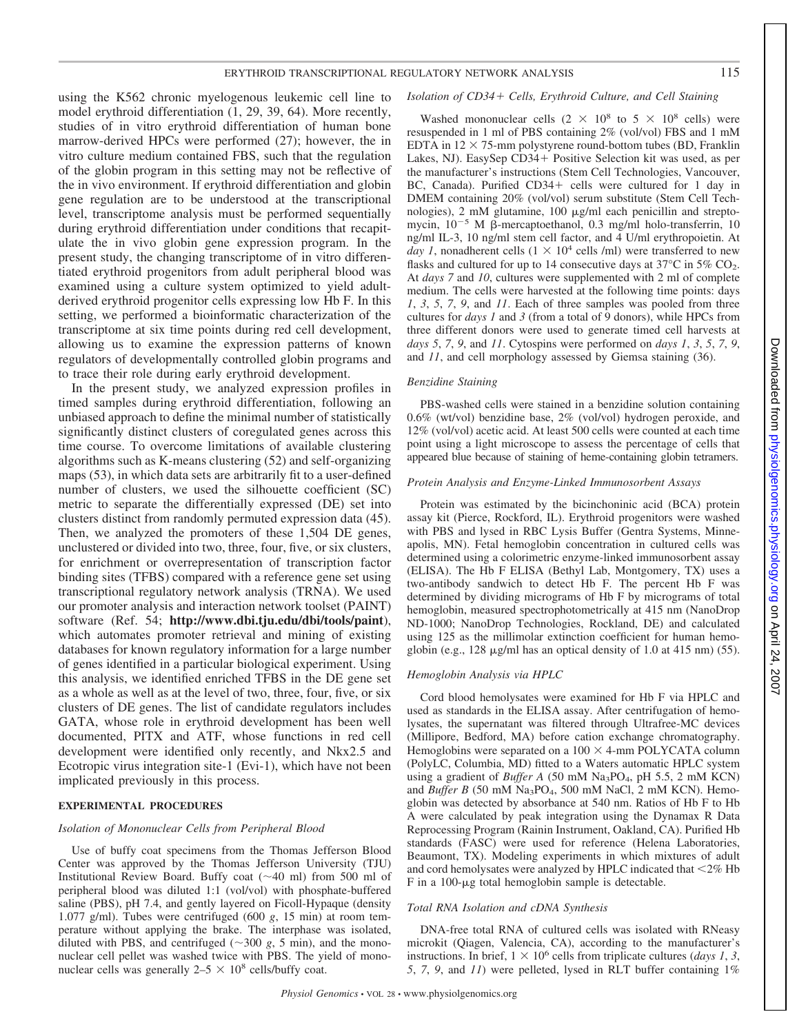using the K562 chronic myelogenous leukemic cell line to model erythroid differentiation (1, 29, 39, 64). More recently, studies of in vitro erythroid differentiation of human bone marrow-derived HPCs were performed (27); however, the in vitro culture medium contained FBS, such that the regulation of the globin program in this setting may not be reflective of the in vivo environment. If erythroid differentiation and globin gene regulation are to be understood at the transcriptional level, transcriptome analysis must be performed sequentially during erythroid differentiation under conditions that recapitulate the in vivo globin gene expression program. In the present study, the changing transcriptome of in vitro differentiated erythroid progenitors from adult peripheral blood was examined using a culture system optimized to yield adultderived erythroid progenitor cells expressing low Hb F. In this setting, we performed a bioinformatic characterization of the transcriptome at six time points during red cell development, allowing us to examine the expression patterns of known regulators of developmentally controlled globin programs and to trace their role during early erythroid development.

In the present study, we analyzed expression profiles in timed samples during erythroid differentiation, following an unbiased approach to define the minimal number of statistically significantly distinct clusters of coregulated genes across this time course. To overcome limitations of available clustering algorithms such as K-means clustering (52) and self-organizing maps (53), in which data sets are arbitrarily fit to a user-defined number of clusters, we used the silhouette coefficient (SC) metric to separate the differentially expressed (DE) set into clusters distinct from randomly permuted expression data (45). Then, we analyzed the promoters of these 1,504 DE genes, unclustered or divided into two, three, four, five, or six clusters, for enrichment or overrepresentation of transcription factor binding sites (TFBS) compared with a reference gene set using transcriptional regulatory network analysis (TRNA). We used our promoter analysis and interaction network toolset (PAINT) software (Ref. 54; **http://www.dbi.tju.edu/dbi/tools/paint**), which automates promoter retrieval and mining of existing databases for known regulatory information for a large number of genes identified in a particular biological experiment. Using this analysis, we identified enriched TFBS in the DE gene set as a whole as well as at the level of two, three, four, five, or six clusters of DE genes. The list of candidate regulators includes GATA, whose role in erythroid development has been well documented, PITX and ATF, whose functions in red cell development were identified only recently, and Nkx2.5 and Ecotropic virus integration site-1 (Evi-1), which have not been implicated previously in this process.

#### **EXPERIMENTAL PROCEDURES**

#### *Isolation of Mononuclear Cells from Peripheral Blood*

Use of buffy coat specimens from the Thomas Jefferson Blood Center was approved by the Thomas Jefferson University (TJU) Institutional Review Board. Buffy coat  $(\sim40 \text{ ml})$  from 500 ml of peripheral blood was diluted 1:1 (vol/vol) with phosphate-buffered saline (PBS), pH 7.4, and gently layered on Ficoll-Hypaque (density 1.077 g/ml). Tubes were centrifuged (600 *g*, 15 min) at room temperature without applying the brake. The interphase was isolated, diluted with PBS, and centrifuged  $(\sim 300 \text{ g}, 5 \text{ min})$ , and the mononuclear cell pellet was washed twice with PBS. The yield of mononuclear cells was generally  $2-5 \times 10^8$  cells/buffy coat.

# *Isolation of CD34 Cells, Erythroid Culture, and Cell Staining*

Washed mononuclear cells  $(2 \times 10^8 \text{ to } 5 \times 10^8 \text{ cells})$  were resuspended in 1 ml of PBS containing 2% (vol/vol) FBS and 1 mM EDTA in  $12 \times 75$ -mm polystyrene round-bottom tubes (BD, Franklin Lakes, NJ). EasySep CD34+ Positive Selection kit was used, as per the manufacturer's instructions (Stem Cell Technologies, Vancouver, BC, Canada). Purified CD34+ cells were cultured for 1 day in DMEM containing 20% (vol/vol) serum substitute (Stem Cell Technologies), 2 mM glutamine, 100 µg/ml each penicillin and streptomycin,  $10^{-5}$  M  $\beta$ -mercaptoethanol, 0.3 mg/ml holo-transferrin, 10 ng/ml IL-3, 10 ng/ml stem cell factor, and 4 U/ml erythropoietin. At *day 1*, nonadherent cells  $(1 \times 10^4 \text{ cells/m})$  were transferred to new flasks and cultured for up to 14 consecutive days at  $37^{\circ}$ C in  $5\%$  CO<sub>2</sub>. At *days 7* and *10*, cultures were supplemented with 2 ml of complete medium. The cells were harvested at the following time points: days *1*, *3*, *5*, *7*, *9*, and *11*. Each of three samples was pooled from three cultures for *days 1* and *3* (from a total of 9 donors), while HPCs from three different donors were used to generate timed cell harvests at *days 5*, *7*, *9*, and *11*. Cytospins were performed on *days 1*, *3*, *5*, *7*, *9*, and *11*, and cell morphology assessed by Giemsa staining (36).

#### *Benzidine Staining*

PBS-washed cells were stained in a benzidine solution containing 0.6% (wt/vol) benzidine base, 2% (vol/vol) hydrogen peroxide, and 12% (vol/vol) acetic acid. At least 500 cells were counted at each time point using a light microscope to assess the percentage of cells that appeared blue because of staining of heme-containing globin tetramers.

#### *Protein Analysis and Enzyme-Linked Immunosorbent Assays*

Protein was estimated by the bicinchoninic acid (BCA) protein assay kit (Pierce, Rockford, IL). Erythroid progenitors were washed with PBS and lysed in RBC Lysis Buffer (Gentra Systems, Minneapolis, MN). Fetal hemoglobin concentration in cultured cells was determined using a colorimetric enzyme-linked immunosorbent assay (ELISA). The Hb F ELISA (Bethyl Lab, Montgomery, TX) uses a two-antibody sandwich to detect Hb F. The percent Hb F was determined by dividing micrograms of Hb F by micrograms of total hemoglobin, measured spectrophotometrically at 415 nm (NanoDrop ND-1000; NanoDrop Technologies, Rockland, DE) and calculated using 125 as the millimolar extinction coefficient for human hemoglobin (e.g.,  $128 \mu g/ml$  has an optical density of 1.0 at 415 nm) (55).

# *Hemoglobin Analysis via HPLC*

Cord blood hemolysates were examined for Hb F via HPLC and used as standards in the ELISA assay. After centrifugation of hemolysates, the supernatant was filtered through Ultrafree-MC devices (Millipore, Bedford, MA) before cation exchange chromatography. Hemoglobins were separated on a  $100 \times 4$ -mm POLYCATA column (PolyLC, Columbia, MD) fitted to a Waters automatic HPLC system using a gradient of *Buffer A* (50 mM Na<sub>3</sub>PO<sub>4</sub>, pH 5.5, 2 mM KCN) and *Buffer B* (50 mM Na<sub>3</sub>PO<sub>4</sub>, 500 mM NaCl, 2 mM KCN). Hemoglobin was detected by absorbance at 540 nm. Ratios of Hb F to Hb A were calculated by peak integration using the Dynamax R Data Reprocessing Program (Rainin Instrument, Oakland, CA). Purified Hb standards (FASC) were used for reference (Helena Laboratories, Beaumont, TX). Modeling experiments in which mixtures of adult and cord hemolysates were analyzed by HPLC indicated that  $\leq$ 2% Hb  $F$  in a 100- $\mu$ g total hemoglobin sample is detectable.

# *Total RNA Isolation and cDNA Synthesis*

DNA-free total RNA of cultured cells was isolated with RNeasy microkit (Qiagen, Valencia, CA), according to the manufacturer's instructions. In brief,  $1 \times 10^6$  cells from triplicate cultures (*days 1*, 3, *5*, *7*, *9*, and *11*) were pelleted, lysed in RLT buffer containing 1%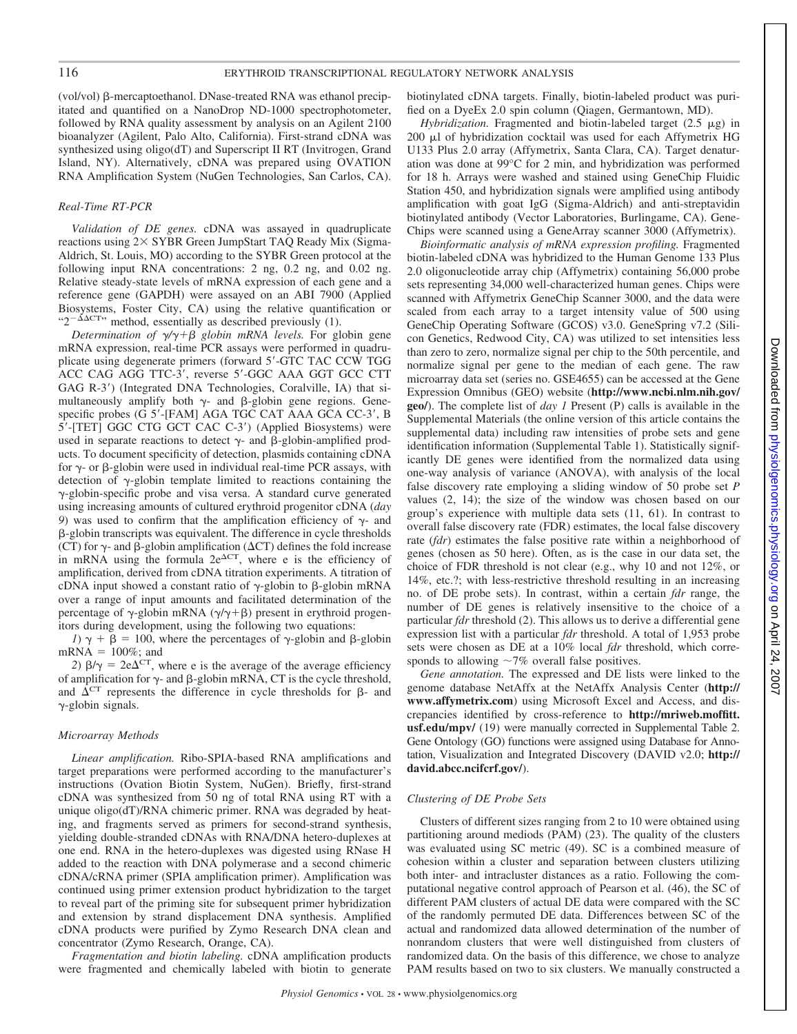(vol/vol)  $\beta$ -mercaptoethanol. DNase-treated RNA was ethanol precipitated and quantified on a NanoDrop ND-1000 spectrophotometer, followed by RNA quality assessment by analysis on an Agilent 2100 bioanalyzer (Agilent, Palo Alto, California). First-strand cDNA was synthesized using oligo(dT) and Superscript II RT (Invitrogen, Grand Island, NY). Alternatively, cDNA was prepared using OVATION RNA Amplification System (NuGen Technologies, San Carlos, CA).

# *Real-Time RT-PCR*

*Validation of DE genes.* cDNA was assayed in quadruplicate reactions using  $2 \times$  SYBR Green JumpStart TAQ Ready Mix (Sigma-Aldrich, St. Louis, MO) according to the SYBR Green protocol at the following input RNA concentrations: 2 ng, 0.2 ng, and 0.02 ng. Relative steady-state levels of mRNA expression of each gene and a reference gene (GAPDH) were assayed on an ABI 7900 (Applied Biosystems, Foster City, CA) using the relative quantification or " $2^{-\Delta \Delta C T}$ " method, essentially as described previously (1).

*Determination of*  $\gamma/\gamma + \beta$  *globin mRNA levels*. For globin gene mRNA expression, real-time PCR assays were performed in quadruplicate using degenerate primers (forward 5 -GTC TAC CCW TGG ACC CAG AGG TTC-3 , reverse 5 -GGC AAA GGT GCC CTT GAG R-3 ) (Integrated DNA Technologies, Coralville, IA) that simultaneously amplify both  $\gamma$ - and  $\beta$ -globin gene regions. Genespecific probes (G 5 -[FAM] AGA TGC CAT AAA GCA CC-3 , B 5 -[TET] GGC CTG GCT CAC C-3 ) (Applied Biosystems) were used in separate reactions to detect  $\gamma$ - and  $\beta$ -globin-amplified products. To document specificity of detection, plasmids containing cDNA for  $\gamma$ - or  $\beta$ -globin were used in individual real-time PCR assays, with detection of  $\gamma$ -globin template limited to reactions containing the  $\gamma$ -globin-specific probe and visa versa. A standard curve generated using increasing amounts of cultured erythroid progenitor cDNA (*day 9*) was used to confirm that the amplification efficiency of  $\gamma$ - and -globin transcripts was equivalent. The difference in cycle thresholds (CT) for  $\gamma$ - and  $\beta$ -globin amplification ( $\Delta$ CT) defines the fold increase in mRNA using the formula  $2e^{\Delta CT}$ , where e is the efficiency of amplification, derived from cDNA titration experiments. A titration of cDNA input showed a constant ratio of  $\gamma$ -globin to  $\beta$ -globin mRNA over a range of input amounts and facilitated determination of the percentage of  $\gamma$ -globin mRNA ( $\gamma/\gamma + \beta$ ) present in erythroid progenitors during development, using the following two equations:

*I*)  $\gamma + \beta = 100$ , where the percentages of  $\gamma$ -globin and  $\beta$ -globin  $mRNA = 100\%$ ; and

2)  $\beta/\gamma = 2e\Delta<sup>CT</sup>$ , where e is the average of the average efficiency of amplification for  $\gamma$ - and  $\beta$ -globin mRNA, CT is the cycle threshold, and  $\Delta^{\text{CT}}$  represents the difference in cycle thresholds for  $\beta$ - and  $\gamma$ -globin signals.

# *Microarray Methods*

*Linear amplification.* Ribo-SPIA-based RNA amplifications and target preparations were performed according to the manufacturer's instructions (Ovation Biotin System, NuGen). Briefly, first-strand cDNA was synthesized from 50 ng of total RNA using RT with a unique oligo(dT)/RNA chimeric primer. RNA was degraded by heating, and fragments served as primers for second-strand synthesis, yielding double-stranded cDNAs with RNA/DNA hetero-duplexes at one end. RNA in the hetero-duplexes was digested using RNase H added to the reaction with DNA polymerase and a second chimeric cDNA/cRNA primer (SPIA amplification primer). Amplification was continued using primer extension product hybridization to the target to reveal part of the priming site for subsequent primer hybridization and extension by strand displacement DNA synthesis. Amplified cDNA products were purified by Zymo Research DNA clean and concentrator (Zymo Research, Orange, CA).

*Fragmentation and biotin labeling.* cDNA amplification products were fragmented and chemically labeled with biotin to generate biotinylated cDNA targets. Finally, biotin-labeled product was purified on a DyeEx 2.0 spin column (Qiagen, Germantown, MD).

*Hybridization.* Fragmented and biotin-labeled target  $(2.5 \mu g)$  in  $200$   $\mu$ l of hybridization cocktail was used for each Affymetrix HG U133 Plus 2.0 array (Affymetrix, Santa Clara, CA). Target denaturation was done at 99°C for 2 min, and hybridization was performed for 18 h. Arrays were washed and stained using GeneChip Fluidic Station 450, and hybridization signals were amplified using antibody amplification with goat IgG (Sigma-Aldrich) and anti-streptavidin biotinylated antibody (Vector Laboratories, Burlingame, CA). Gene-Chips were scanned using a GeneArray scanner 3000 (Affymetrix).

*Bioinformatic analysis of mRNA expression profiling.* Fragmented biotin-labeled cDNA was hybridized to the Human Genome 133 Plus 2.0 oligonucleotide array chip (Affymetrix) containing 56,000 probe sets representing 34,000 well-characterized human genes. Chips were scanned with Affymetrix GeneChip Scanner 3000, and the data were scaled from each array to a target intensity value of 500 using GeneChip Operating Software (GCOS) v3.0. GeneSpring v7.2 (Silicon Genetics, Redwood City, CA) was utilized to set intensities less than zero to zero, normalize signal per chip to the 50th percentile, and normalize signal per gene to the median of each gene. The raw microarray data set (series no. GSE4655) can be accessed at the Gene Expression Omnibus (GEO) website (**http://www.ncbi.nlm.nih.gov/ geo/**). The complete list of *day 1* Present (P) calls is available in the Supplemental Materials (the online version of this article contains the supplemental data) including raw intensities of probe sets and gene identification information (Supplemental Table 1). Statistically significantly DE genes were identified from the normalized data using one-way analysis of variance (ANOVA), with analysis of the local false discovery rate employing a sliding window of 50 probe set *P* values (2, 14); the size of the window was chosen based on our group's experience with multiple data sets (11, 61). In contrast to overall false discovery rate (FDR) estimates, the local false discovery rate (*fdr*) estimates the false positive rate within a neighborhood of genes (chosen as 50 here). Often, as is the case in our data set, the choice of FDR threshold is not clear (e.g., why 10 and not 12%, or 14%, etc.?; with less-restrictive threshold resulting in an increasing no. of DE probe sets). In contrast, within a certain *fdr* range, the number of DE genes is relatively insensitive to the choice of a particular *fdr* threshold (2). This allows us to derive a differential gene expression list with a particular *fdr* threshold. A total of 1,953 probe sets were chosen as DE at a 10% local *fdr* threshold, which corresponds to allowing  $\sim$ 7% overall false positives.

*Gene annotation.* The expressed and DE lists were linked to the genome database NetAffx at the NetAffx Analysis Center (**http:// www.affymetrix.com**) using Microsoft Excel and Access, and discrepancies identified by cross-reference to **http://mriweb.moffitt.** usf.edu/mpv/ (19) were manually corrected in Supplemental Table 2. Gene Ontology (GO) functions were assigned using Database for Annotation, Visualization and Integrated Discovery (DAVID v2.0; **http:// david.abcc.ncifcrf.gov/**).

# *Clustering of DE Probe Sets*

Clusters of different sizes ranging from 2 to 10 were obtained using partitioning around mediods (PAM) (23). The quality of the clusters was evaluated using SC metric (49). SC is a combined measure of cohesion within a cluster and separation between clusters utilizing both inter- and intracluster distances as a ratio. Following the computational negative control approach of Pearson et al. (46), the SC of different PAM clusters of actual DE data were compared with the SC of the randomly permuted DE data. Differences between SC of the actual and randomized data allowed determination of the number of nonrandom clusters that were well distinguished from clusters of randomized data. On the basis of this difference, we chose to analyze PAM results based on two to six clusters. We manually constructed a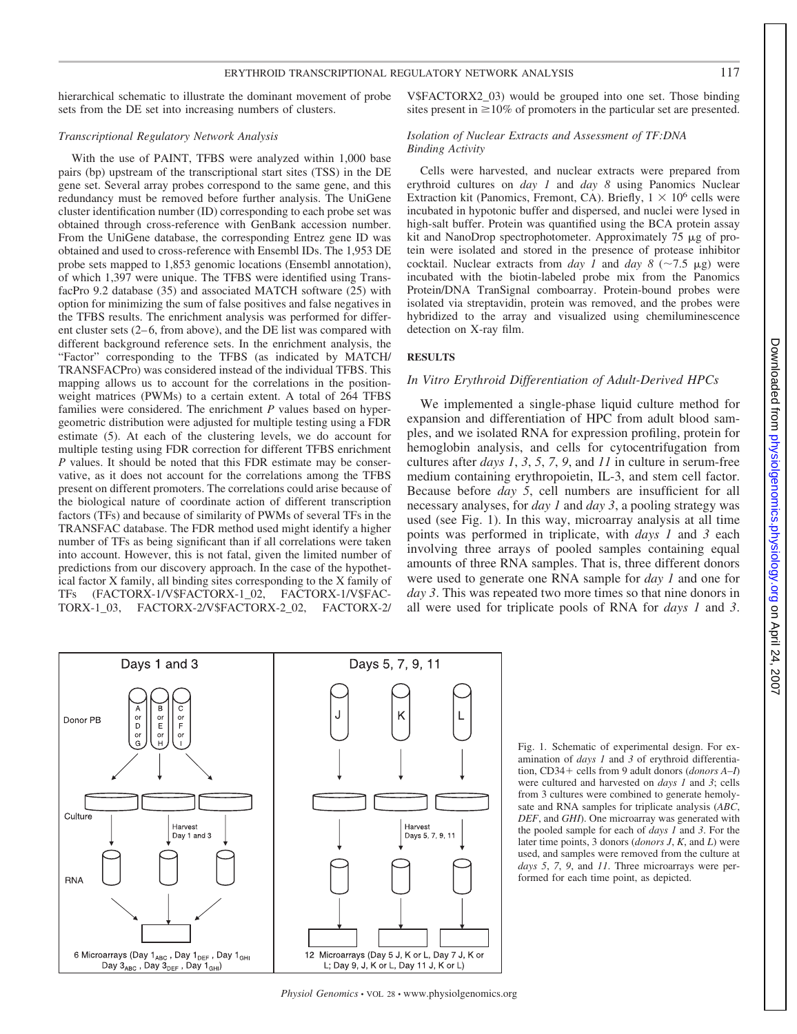hierarchical schematic to illustrate the dominant movement of probe sets from the DE set into increasing numbers of clusters.

#### *Transcriptional Regulatory Network Analysis*

With the use of PAINT, TFBS were analyzed within 1,000 base pairs (bp) upstream of the transcriptional start sites (TSS) in the DE gene set. Several array probes correspond to the same gene, and this redundancy must be removed before further analysis. The UniGene cluster identification number (ID) corresponding to each probe set was obtained through cross-reference with GenBank accession number. From the UniGene database, the corresponding Entrez gene ID was obtained and used to cross-reference with Ensembl IDs. The 1,953 DE probe sets mapped to 1,853 genomic locations (Ensembl annotation), of which 1,397 were unique. The TFBS were identified using TransfacPro 9.2 database (35) and associated MATCH software (25) with option for minimizing the sum of false positives and false negatives in the TFBS results. The enrichment analysis was performed for different cluster sets (2–6, from above), and the DE list was compared with different background reference sets. In the enrichment analysis, the "Factor" corresponding to the TFBS (as indicated by MATCH/ TRANSFACPro) was considered instead of the individual TFBS. This mapping allows us to account for the correlations in the positionweight matrices (PWMs) to a certain extent. A total of 264 TFBS families were considered. The enrichment *P* values based on hypergeometric distribution were adjusted for multiple testing using a FDR estimate (5). At each of the clustering levels, we do account for multiple testing using FDR correction for different TFBS enrichment *P* values. It should be noted that this FDR estimate may be conservative, as it does not account for the correlations among the TFBS present on different promoters. The correlations could arise because of the biological nature of coordinate action of different transcription factors (TFs) and because of similarity of PWMs of several TFs in the TRANSFAC database. The FDR method used might identify a higher number of TFs as being significant than if all correlations were taken into account. However, this is not fatal, given the limited number of predictions from our discovery approach. In the case of the hypothetical factor X family, all binding sites corresponding to the X family of TFs (FACTORX-1/V\$FACTORX-1\_02, FACTORX-1/V\$FAC-TORX-1\_03, FACTORX-2/V\$FACTORX-2\_02, FACTORX-2/ V\$FACTORX2\_03) would be grouped into one set. Those binding sites present in  $\geq 10\%$  of promoters in the particular set are presented.

#### *Isolation of Nuclear Extracts and Assessment of TF:DNA Binding Activity*

Cells were harvested, and nuclear extracts were prepared from erythroid cultures on *day 1* and *day 8* using Panomics Nuclear Extraction kit (Panomics, Fremont, CA). Briefly,  $1 \times 10^6$  cells were incubated in hypotonic buffer and dispersed, and nuclei were lysed in high-salt buffer. Protein was quantified using the BCA protein assay kit and NanoDrop spectrophotometer. Approximately  $75 \mu g$  of protein were isolated and stored in the presence of protease inhibitor cocktail. Nuclear extracts from *day 1* and *day 8* ( $\sim$ 7.5  $\mu$ g) were incubated with the biotin-labeled probe mix from the Panomics Protein/DNA TranSignal comboarray. Protein-bound probes were isolated via streptavidin, protein was removed, and the probes were hybridized to the array and visualized using chemiluminescence detection on X-ray film.

# **RESULTS**

# *In Vitro Erythroid Differentiation of Adult-Derived HPCs*

We implemented a single-phase liquid culture method for expansion and differentiation of HPC from adult blood samples, and we isolated RNA for expression profiling, protein for hemoglobin analysis, and cells for cytocentrifugation from cultures after *days 1*, *3*, *5*, *7*, *9*, and *11* in culture in serum-free medium containing erythropoietin, IL-3, and stem cell factor. Because before *day 5*, cell numbers are insufficient for all necessary analyses, for *day 1* and *day 3*, a pooling strategy was used (see Fig. 1). In this way, microarray analysis at all time points was performed in triplicate, with *days 1* and *3* each involving three arrays of pooled samples containing equal amounts of three RNA samples. That is, three different donors were used to generate one RNA sample for *day 1* and one for *day 3*. This was repeated two more times so that nine donors in all were used for triplicate pools of RNA for *days 1* and *3*.



Fig. 1. Schematic of experimental design. For examination of *days 1* and *3* of erythroid differentiation, CD34 + cells from 9 adult donors (*donors A–I*) were cultured and harvested on *days 1* and *3*; cells from 3 cultures were combined to generate hemolysate and RNA samples for triplicate analysis (*ABC*, *DEF*, and *GHI*). One microarray was generated with the pooled sample for each of *days 1* and *3*. For the later time points, 3 donors (*donors J*, *K*, and *L*) were used, and samples were removed from the culture at *days 5*, *7*, *9*, and *11*. Three microarrays were performed for each time point, as depicted.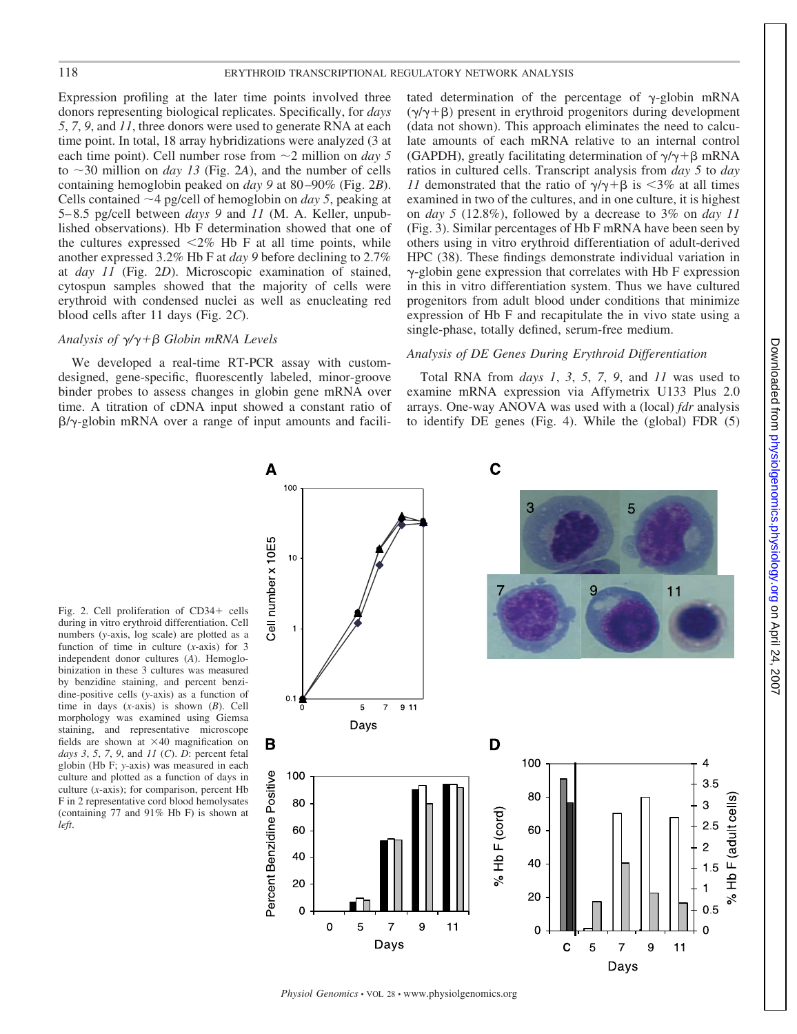Expression profiling at the later time points involved three donors representing biological replicates. Specifically, for *days 5*, *7*, *9*, and *11*, three donors were used to generate RNA at each time point. In total, 18 array hybridizations were analyzed (3 at each time point). Cell number rose from  $\sim$  2 million on *day* 5 to  $\sim$ 30 million on *day 13* (Fig. 2*A*), and the number of cells containing hemoglobin peaked on *day 9* at 80 –90% (Fig. 2*B*). Cells contained  $\sim$  4 pg/cell of hemoglobin on *day 5*, peaking at 5– 8.5 pg/cell between *days 9* and *11* (M. A. Keller, unpublished observations). Hb F determination showed that one of the cultures expressed  $\leq 2\%$  Hb F at all time points, while another expressed 3.2% Hb F at *day 9* before declining to 2.7% at *day 11* (Fig. 2*D*). Microscopic examination of stained, cytospun samples showed that the majority of cells were erythroid with condensed nuclei as well as enucleating red blood cells after 11 days (Fig. 2*C*).

# *Analysis of /*- *Globin mRNA Levels*

We developed a real-time RT-PCR assay with customdesigned, gene-specific, fluorescently labeled, minor-groove binder probes to assess changes in globin gene mRNA over time. A titration of cDNA input showed a constant ratio of  $\beta/\gamma$ -globin mRNA over a range of input amounts and facilitated determination of the percentage of  $\gamma$ -globin mRNA  $(\gamma/\gamma + \beta)$  present in erythroid progenitors during development (data not shown). This approach eliminates the need to calculate amounts of each mRNA relative to an internal control (GAPDH), greatly facilitating determination of  $\gamma / \gamma + \beta$  mRNA ratios in cultured cells. Transcript analysis from *day 5* to *day 11* demonstrated that the ratio of  $\gamma/\gamma + \beta$  is <3% at all times examined in two of the cultures, and in one culture, it is highest on *day 5* (12.8%), followed by a decrease to 3% on *day 11* (Fig. 3). Similar percentages of Hb F mRNA have been seen by others using in vitro erythroid differentiation of adult-derived HPC (38). These findings demonstrate individual variation in  $\gamma$ -globin gene expression that correlates with Hb F expression in this in vitro differentiation system. Thus we have cultured progenitors from adult blood under conditions that minimize expression of Hb F and recapitulate the in vivo state using a single-phase, totally defined, serum-free medium.

# *Analysis of DE Genes During Erythroid Differentiation*

Total RNA from *days 1*, *3*, *5*, *7*, *9*, and *11* was used to examine mRNA expression via Affymetrix U133 Plus 2.0 arrays. One-way ANOVA was used with a (local) *fdr* analysis to identify DE genes (Fig. 4). While the (global) FDR (5)

Fig. 2. Cell proliferation of CD34+ cells during in vitro erythroid differentiation. Cell numbers (*y*-axis, log scale) are plotted as a function of time in culture (*x*-axis) for 3 independent donor cultures (*A*). Hemoglobinization in these 3 cultures was measured by benzidine staining, and percent benzidine-positive cells (*y*-axis) as a function of time in days (*x*-axis) is shown (*B*). Cell morphology was examined using Giemsa staining, and representative microscope fields are shown at  $\times$ 40 magnification on *days 3*, *5*, *7*, *9*, and *11* (*C*). *D*: percent fetal globin (Hb F; *y*-axis) was measured in each culture and plotted as a function of days in culture (*x*-axis); for comparison, percent Hb F in 2 representative cord blood hemolysates (containing 77 and 91% Hb F) is shown at *left*.



*Physiol Genomics* • VOL 28 • www.physiolgenomics.org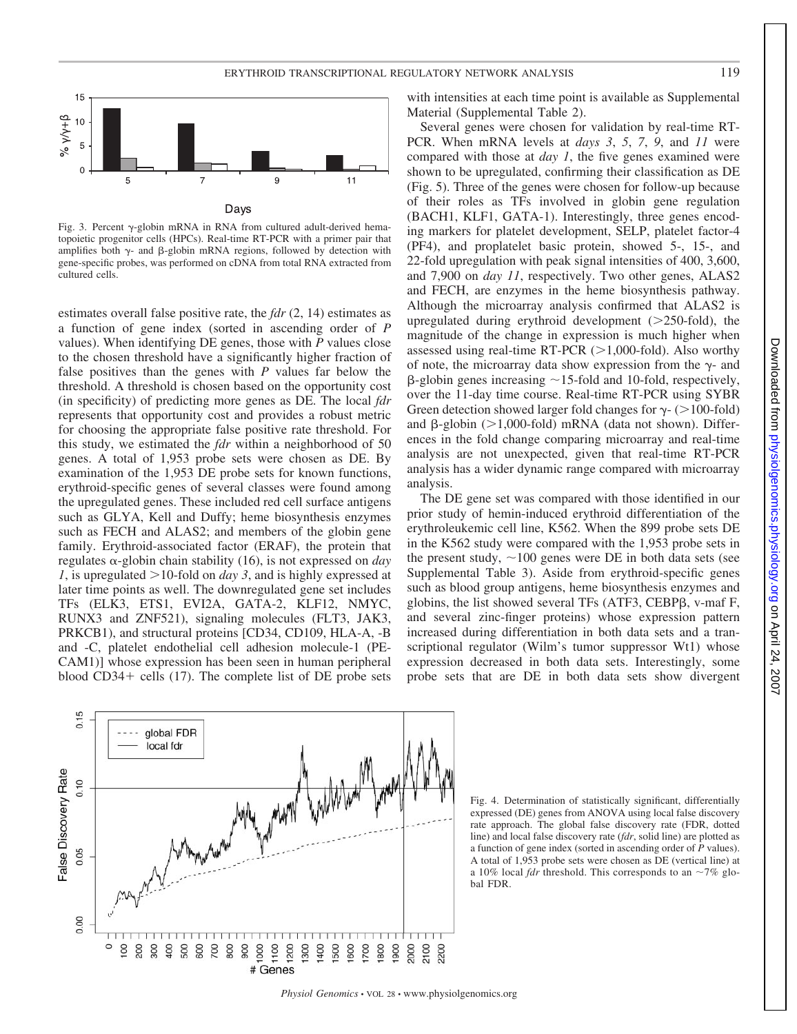

Fig. 3. Percent  $\gamma$ -globin mRNA in RNA from cultured adult-derived hematopoietic progenitor cells (HPCs). Real-time RT-PCR with a primer pair that amplifies both  $\gamma$ - and  $\beta$ -globin mRNA regions, followed by detection with gene-specific probes, was performed on cDNA from total RNA extracted from cultured cells.

estimates overall false positive rate, the *fdr* (2, 14) estimates as a function of gene index (sorted in ascending order of *P* values). When identifying DE genes, those with *P* values close to the chosen threshold have a significantly higher fraction of false positives than the genes with *P* values far below the threshold. A threshold is chosen based on the opportunity cost (in specificity) of predicting more genes as DE. The local *fdr* represents that opportunity cost and provides a robust metric for choosing the appropriate false positive rate threshold. For this study, we estimated the *fdr* within a neighborhood of 50 genes. A total of 1,953 probe sets were chosen as DE. By examination of the 1,953 DE probe sets for known functions, erythroid-specific genes of several classes were found among the upregulated genes. These included red cell surface antigens such as GLYA, Kell and Duffy; heme biosynthesis enzymes such as FECH and ALAS2; and members of the globin gene family. Erythroid-associated factor (ERAF), the protein that  $regulates \alpha$ -globin chain stability (16), is not expressed on *day 1*, is upregulated 10-fold on *day 3*, and is highly expressed at later time points as well. The downregulated gene set includes TFs (ELK3, ETS1, EVI2A, GATA-2, KLF12, NMYC, RUNX3 and ZNF521), signaling molecules (FLT3, JAK3, PRKCB1), and structural proteins [CD34, CD109, HLA-A, -B and -C, platelet endothelial cell adhesion molecule-1 (PE-CAM1)] whose expression has been seen in human peripheral blood  $CD34+$  cells (17). The complete list of DE probe sets

0.15

0.10

0.05

0.00

False Discovery Rate

global FDR local fdr

 $888988888$ 

with intensities at each time point is available as Supplemental Material (Supplemental Table 2).

Several genes were chosen for validation by real-time RT-PCR. When mRNA levels at *days 3*, *5*, *7*, *9*, and *11* were compared with those at *day 1*, the five genes examined were shown to be upregulated, confirming their classification as DE (Fig. 5). Three of the genes were chosen for follow-up because of their roles as TFs involved in globin gene regulation (BACH1, KLF1, GATA-1). Interestingly, three genes encoding markers for platelet development, SELP, platelet factor-4 (PF4), and proplatelet basic protein, showed 5-, 15-, and 22-fold upregulation with peak signal intensities of 400, 3,600, and 7,900 on *day 11*, respectively. Two other genes, ALAS2 and FECH, are enzymes in the heme biosynthesis pathway. Although the microarray analysis confirmed that ALAS2 is upregulated during erythroid development ( 250-fold), the magnitude of the change in expression is much higher when assessed using real-time RT-PCR  $(>1,000$ -fold). Also worthy of note, the microarray data show expression from the  $\gamma$ - and  $\beta$ -globin genes increasing  $\sim$  15-fold and 10-fold, respectively, over the 11-day time course. Real-time RT-PCR using SYBR Green detection showed larger fold changes for  $\gamma$ - (>100-fold) and  $\beta$ -globin (>1,000-fold) mRNA (data not shown). Differences in the fold change comparing microarray and real-time analysis are not unexpected, given that real-time RT-PCR analysis has a wider dynamic range compared with microarray analysis.

The DE gene set was compared with those identified in our prior study of hemin-induced erythroid differentiation of the erythroleukemic cell line, K562. When the 899 probe sets DE in the K562 study were compared with the 1,953 probe sets in the present study,  $\sim$ 100 genes were DE in both data sets (see Supplemental Table 3). Aside from erythroid-specific genes such as blood group antigens, heme biosynthesis enzymes and globins, the list showed several TFs (ATF3, CEBP $\beta$ , v-maf F, and several zinc-finger proteins) whose expression pattern increased during differentiation in both data sets and a transcriptional regulator (Wilm's tumor suppressor Wt1) whose expression decreased in both data sets. Interestingly, some probe sets that are DE in both data sets show divergent



2100

2000 1900

300 1400 500 600 700 800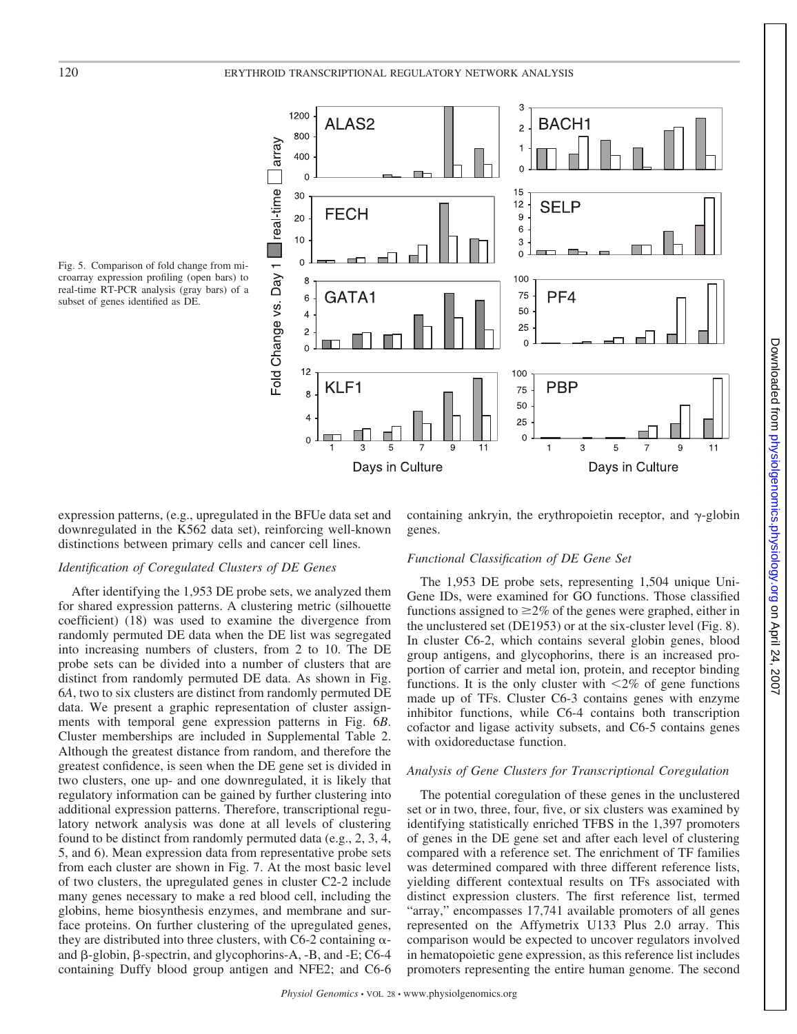

Fig. 5. Comparison of fold change from microarray expression profiling (open bars) to real-time RT-PCR analysis (gray bars) of a subset of genes identified as DE.

expression patterns, (e.g., upregulated in the BFUe data set and downregulated in the K562 data set), reinforcing well-known distinctions between primary cells and cancer cell lines.

# containing ankryin, the erythropoietin receptor, and  $\gamma$ -globin genes.

# *Identification of Coregulated Clusters of DE Genes*

After identifying the 1,953 DE probe sets, we analyzed them for shared expression patterns. A clustering metric (silhouette coefficient) (18) was used to examine the divergence from randomly permuted DE data when the DE list was segregated into increasing numbers of clusters, from 2 to 10. The DE probe sets can be divided into a number of clusters that are distinct from randomly permuted DE data. As shown in Fig. 6*A*, two to six clusters are distinct from randomly permuted DE data. We present a graphic representation of cluster assignments with temporal gene expression patterns in Fig. 6*B*. Cluster memberships are included in Supplemental Table 2. Although the greatest distance from random, and therefore the greatest confidence, is seen when the DE gene set is divided in two clusters, one up- and one downregulated, it is likely that regulatory information can be gained by further clustering into additional expression patterns. Therefore, transcriptional regulatory network analysis was done at all levels of clustering found to be distinct from randomly permuted data (e.g., 2, 3, 4, 5, and 6). Mean expression data from representative probe sets from each cluster are shown in Fig. 7. At the most basic level of two clusters, the upregulated genes in cluster C2-2 include many genes necessary to make a red blood cell, including the globins, heme biosynthesis enzymes, and membrane and surface proteins. On further clustering of the upregulated genes, they are distributed into three clusters, with C6-2 containing  $\alpha$ and  $\beta$ -globin,  $\beta$ -spectrin, and glycophorins-A, -B, and -E; C6-4 containing Duffy blood group antigen and NFE2; and C6-6

# *Functional Classification of DE Gene Set*

The 1,953 DE probe sets, representing 1,504 unique Uni-Gene IDs, were examined for GO functions. Those classified functions assigned to  $\geq 2\%$  of the genes were graphed, either in the unclustered set (DE1953) or at the six-cluster level (Fig. 8). In cluster C6-2, which contains several globin genes, blood group antigens, and glycophorins, there is an increased proportion of carrier and metal ion, protein, and receptor binding functions. It is the only cluster with  $\langle 2\% \rangle$  of gene functions made up of TFs. Cluster C6-3 contains genes with enzyme inhibitor functions, while C6-4 contains both transcription cofactor and ligase activity subsets, and C6-5 contains genes with oxidoreductase function.

#### *Analysis of Gene Clusters for Transcriptional Coregulation*

The potential coregulation of these genes in the unclustered set or in two, three, four, five, or six clusters was examined by identifying statistically enriched TFBS in the 1,397 promoters of genes in the DE gene set and after each level of clustering compared with a reference set. The enrichment of TF families was determined compared with three different reference lists, yielding different contextual results on TFs associated with distinct expression clusters. The first reference list, termed "array," encompasses 17,741 available promoters of all genes represented on the Affymetrix U133 Plus 2.0 array. This comparison would be expected to uncover regulators involved in hematopoietic gene expression, as this reference list includes promoters representing the entire human genome. The second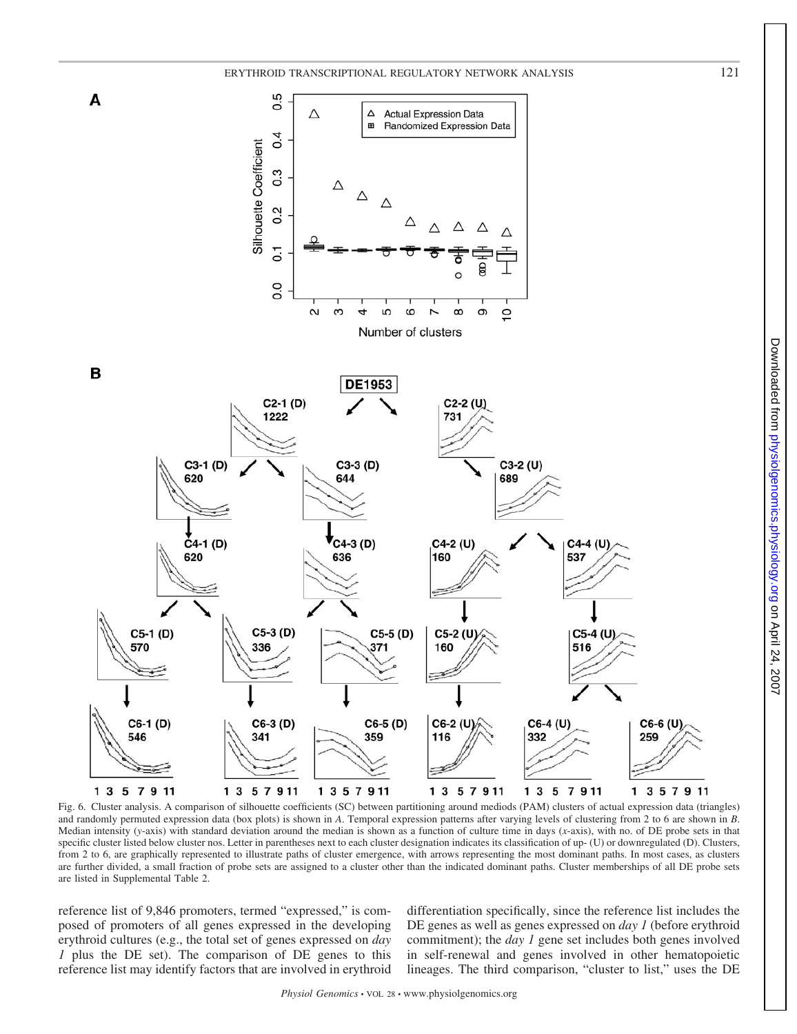



Fig. 6. Cluster analysis. A comparison of silhouette coefficients (SC) between partitioning around mediods (PAM) clusters of actual expression data (triangles) and randomly permuted expression data (box plots) is shown in *A*. Temporal expression patterns after varying levels of clustering from 2 to 6 are shown in *B*. Median intensity (*y*-axis) with standard deviation around the median is shown as a function of culture time in days (*x*-axis), with no. of DE probe sets in that specific cluster listed below cluster nos. Letter in parentheses next to each cluster designation indicates its classification of up- (U) or downregulated (D). Clusters, from 2 to 6, are graphically represented to illustrate paths of cluster emergence, with arrows representing the most dominant paths. In most cases, as clusters are further divided, a small fraction of probe sets are assigned to a cluster other than the indicated dominant paths. Cluster memberships of all DE probe sets are listed in Supplemental Table 2.

reference list of 9,846 promoters, termed "expressed," is composed of promoters of all genes expressed in the developing erythroid cultures (e.g., the total set of genes expressed on *day 1* plus the DE set). The comparison of DE genes to this reference list may identify factors that are involved in erythroid differentiation specifically, since the reference list includes the DE genes as well as genes expressed on *day 1* (before erythroid commitment); the *day 1* gene set includes both genes involved in self-renewal and genes involved in other hematopoietic lineages. The third comparison, "cluster to list," uses the DE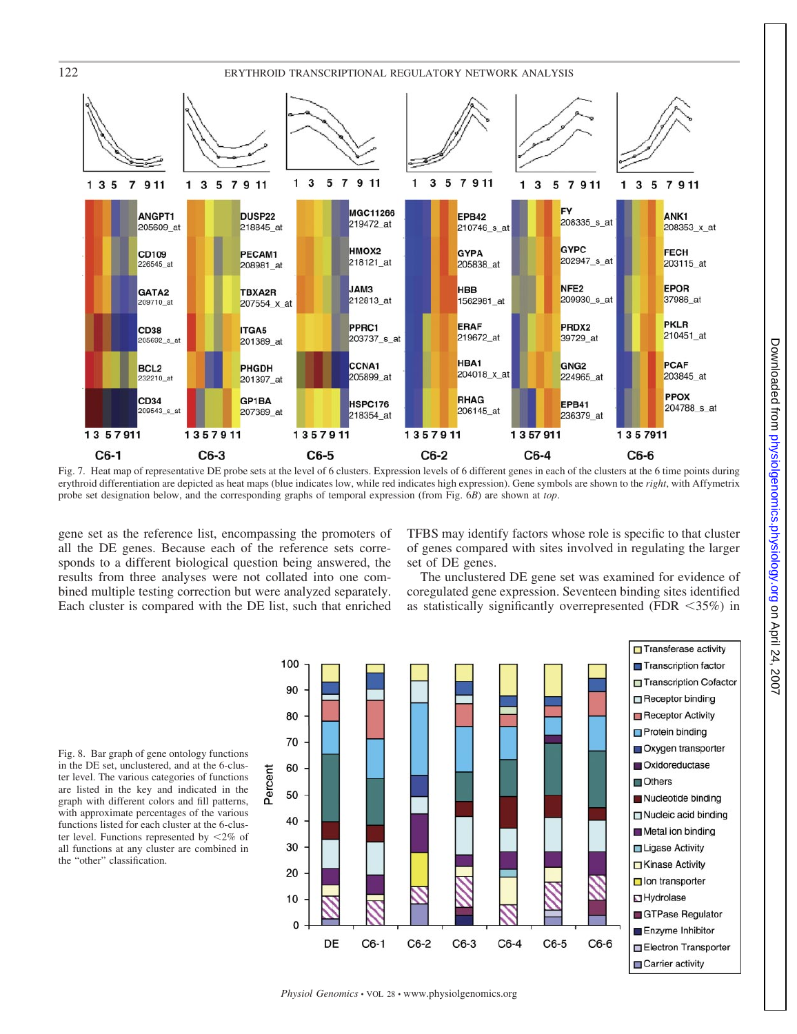

Fig. 7. Heat map of representative DE probe sets at the level of 6 clusters. Expression levels of 6 different genes in each of the clusters at the 6 time points during erythroid differentiation are depicted as heat maps (blue indicates low, while red indicates high expression). Gene symbols are shown to the *right*, with Affymetrix probe set designation below, and the corresponding graphs of temporal expression (from Fig. 6*B*) are shown at *top*.

gene set as the reference list, encompassing the promoters of all the DE genes. Because each of the reference sets corresponds to a different biological question being answered, the results from three analyses were not collated into one combined multiple testing correction but were analyzed separately. Each cluster is compared with the DE list, such that enriched TFBS may identify factors whose role is specific to that cluster of genes compared with sites involved in regulating the larger set of DE genes.

The unclustered DE gene set was examined for evidence of coregulated gene expression. Seventeen binding sites identified as statistically significantly overrepresented (FDR  $\langle 35\% \rangle$  in

Fig. 8. Bar graph of gene ontology functions in the DE set, unclustered, and at the 6-cluster level. The various categories of functions are listed in the key and indicated in the graph with different colors and fill patterns, with approximate percentages of the various functions listed for each cluster at the 6-cluster level. Functions represented by  $\langle 2\% \rangle$  of all functions at any cluster are combined in the "other" classification.

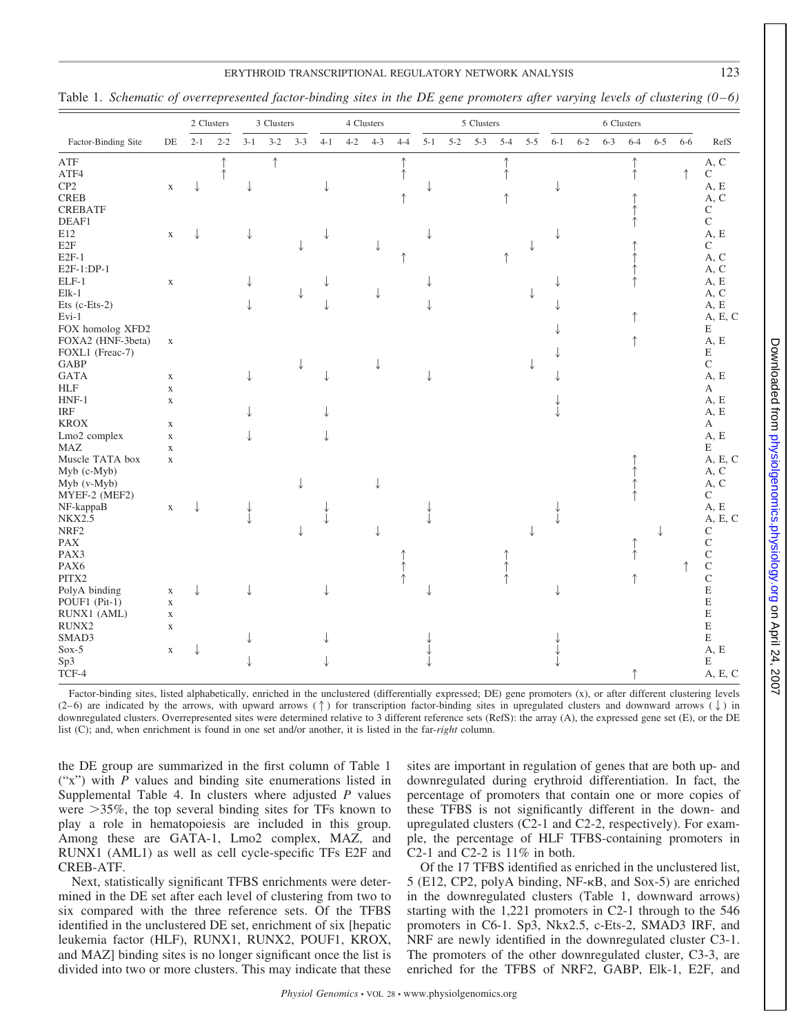# ERYTHROID TRANSCRIPTIONAL REGULATORY NETWORK ANALYSIS 123

Table 1. *Schematic of overrepresented factor-binding sites in the DE gene promoters after varying levels of clustering (0 – 6)*

|                         |             |         | 2 Clusters |       | 3 Clusters |         |         | 4 Clusters |         |         |         | 5 Clusters |         |         |         |         | 6 Clusters |         |         |         |            |                           |
|-------------------------|-------------|---------|------------|-------|------------|---------|---------|------------|---------|---------|---------|------------|---------|---------|---------|---------|------------|---------|---------|---------|------------|---------------------------|
| Factor-Binding Site     | DE          | $2 - 1$ | $2 - 2$    | $3-1$ | $3 - 2$    | $3 - 3$ | $4 - 1$ | $4 - 2$    | $4 - 3$ | $4 - 4$ | $5 - 1$ | $5 - 2$    | $5 - 3$ | $5 - 4$ | $5 - 5$ | $6 - 1$ | $6 - 2$    | $6 - 3$ | $6 - 4$ | $6 - 5$ | $6 - 6$    | RefS                      |
| ${\rm ATF}$             |             |         |            |       | ↑          |         |         |            |         |         |         |            |         |         |         |         |            |         |         |         |            | A, C                      |
| $\operatorname{ATF4}$   |             |         |            |       |            |         |         |            |         |         |         |            |         |         |         |         |            |         |         |         | $\uparrow$ | $\mathsf C$               |
| $\mathbf{C}\mathbf{P}2$ | $\mathbf X$ | J       |            |       |            |         |         |            |         |         |         |            |         |         |         |         |            |         |         |         |            | A, E                      |
| <b>CREB</b>             |             |         |            |       |            |         |         |            |         |         |         |            |         |         |         |         |            |         |         |         |            | A, C                      |
| <b>CREBATF</b>          |             |         |            |       |            |         |         |            |         |         |         |            |         |         |         |         |            |         |         |         |            | $\mathbf C$               |
| DEAF1                   |             |         |            |       |            |         |         |            |         |         |         |            |         |         |         |         |            |         |         |         |            | $\mathbf C$               |
| E12                     | $\mathbf X$ |         |            |       |            |         |         |            |         |         |         |            |         |         |         |         |            |         |         |         |            | A, E                      |
| E <sub>2F</sub>         |             |         |            |       |            |         |         |            |         |         |         |            |         |         |         |         |            |         |         |         |            | $\mathsf{C}$              |
| $E2F-1$                 |             |         |            |       |            |         |         |            |         |         |         |            |         |         |         |         |            |         |         |         |            | A, C                      |
| E2F-1:DP-1              |             |         |            |       |            |         |         |            |         |         |         |            |         |         |         |         |            |         |         |         |            | A, C                      |
| ELF-1                   |             |         |            |       |            |         |         |            |         |         |         |            |         |         |         |         |            |         |         |         |            | A, E                      |
| $Elk-1$                 | $\mathbf X$ |         |            |       |            |         |         |            |         |         |         |            |         |         |         |         |            |         |         |         |            | A, C                      |
|                         |             |         |            |       |            |         |         |            |         |         |         |            |         |         |         |         |            |         |         |         |            |                           |
| Ets (c-Ets-2)           |             |         |            |       |            |         |         |            |         |         |         |            |         |         |         |         |            |         |         |         |            | A, E                      |
| $Evi-1$                 |             |         |            |       |            |         |         |            |         |         |         |            |         |         |         |         |            |         |         |         |            | A, E, C                   |
| FOX homolog XFD2        |             |         |            |       |            |         |         |            |         |         |         |            |         |         |         |         |            |         |         |         |            | E                         |
| FOXA2 (HNF-3beta)       | $\mathbf X$ |         |            |       |            |         |         |            |         |         |         |            |         |         |         |         |            |         |         |         |            | A, E                      |
| FOXL1 (Freac-7)         |             |         |            |       |            |         |         |            |         |         |         |            |         |         |         |         |            |         |         |         |            | E                         |
| <b>GABP</b>             |             |         |            |       |            |         |         |            |         |         |         |            |         |         |         |         |            |         |         |         |            | $\mathbf C$               |
| <b>GATA</b>             | $\mathbf X$ |         |            |       |            |         |         |            |         |         |         |            |         |         |         |         |            |         |         |         |            | A, E                      |
| <b>HLF</b>              | $\mathbf X$ |         |            |       |            |         |         |            |         |         |         |            |         |         |         |         |            |         |         |         |            | $\mathbf{A}$              |
| $HNF-1$                 | $\mathbf X$ |         |            |       |            |         |         |            |         |         |         |            |         |         |         |         |            |         |         |         |            | A, E                      |
| $\operatorname{IRF}$    |             |         |            |       |            |         |         |            |         |         |         |            |         |         |         |         |            |         |         |         |            | A, E                      |
| <b>KROX</b>             | $\mathbf X$ |         |            |       |            |         |         |            |         |         |         |            |         |         |         |         |            |         |         |         |            | A                         |
| Lmo2 complex            | $\mathbf X$ |         |            |       |            |         |         |            |         |         |         |            |         |         |         |         |            |         |         |         |            | A, E                      |
| <b>MAZ</b>              | $\mathbf X$ |         |            |       |            |         |         |            |         |         |         |            |         |         |         |         |            |         |         |         |            | $\mathbf E$               |
| Muscle TATA box         | $\mathbf X$ |         |            |       |            |         |         |            |         |         |         |            |         |         |         |         |            |         |         |         |            | A, E, C                   |
| Myb (c-Myb)             |             |         |            |       |            |         |         |            |         |         |         |            |         |         |         |         |            |         |         |         |            | A, C                      |
| Myb (v-Myb)             |             |         |            |       |            |         |         |            |         |         |         |            |         |         |         |         |            |         |         |         |            | $\mathbf{A},\,\mathbf{C}$ |
| MYEF-2 (MEF2)           |             |         |            |       |            |         |         |            |         |         |         |            |         |         |         |         |            |         |         |         |            | $\mathsf C$               |
| NF-kappaB               | $\mathbf X$ |         |            |       |            |         |         |            |         |         |         |            |         |         |         |         |            |         |         |         |            | A, E                      |
| <b>NKX2.5</b>           |             |         |            |       |            |         |         |            |         |         |         |            |         |         |         |         |            |         |         |         |            | A, E, C                   |
| $\rm NRF2$              |             |         |            |       |            |         |         |            |         |         |         |            |         |         |         |         |            |         |         |         |            | $\mathbf C$               |
| PAX                     |             |         |            |       |            |         |         |            |         |         |         |            |         |         |         |         |            |         |         |         |            | $\mathbf C$               |
| PAX3                    |             |         |            |       |            |         |         |            |         |         |         |            |         |         |         |         |            |         |         |         |            | $\mathsf{C}$              |
| PAX6                    |             |         |            |       |            |         |         |            |         |         |         |            |         |         |         |         |            |         |         |         |            | $\mathsf C$               |
| PITX2                   |             |         |            |       |            |         |         |            |         |         |         |            |         |         |         |         |            |         |         |         |            | $\mathsf C$               |
|                         |             |         |            |       |            |         |         |            |         |         |         |            |         |         |         |         |            |         |         |         |            | $\mathbf E$               |
| PolyA binding           | $\mathbf X$ |         |            |       |            |         |         |            |         |         |         |            |         |         |         |         |            |         |         |         |            |                           |
| POUF1 (Pit-1)           | $\mathbf X$ |         |            |       |            |         |         |            |         |         |         |            |         |         |         |         |            |         |         |         |            | $\mathbf E$               |
| RUNX1 (AML)             | $\mathbf X$ |         |            |       |            |         |         |            |         |         |         |            |         |         |         |         |            |         |         |         |            | ${\bf E}$                 |
| RUNX2                   | $\mathbf X$ |         |            |       |            |         |         |            |         |         |         |            |         |         |         |         |            |         |         |         |            | $\mathbf E$               |
| SMAD3                   |             |         |            |       |            |         |         |            |         |         |         |            |         |         |         |         |            |         |         |         |            | E                         |
| $Sox-5$                 | $\mathbf X$ |         |            |       |            |         |         |            |         |         |         |            |         |         |         |         |            |         |         |         |            | A, E                      |
| Sp3                     |             |         |            |       |            |         |         |            |         |         |         |            |         |         |         |         |            |         |         |         |            | E                         |
| TCF-4                   |             |         |            |       |            |         |         |            |         |         |         |            |         |         |         |         |            |         |         |         |            | A, E, C                   |

Factor-binding sites, listed alphabetically, enriched in the unclustered (differentially expressed; DE) gene promoters (x), or after different clustering levels (2–6) are indicated by the arrows, with upward arrows ( $\uparrow$ ) for transcription factor-binding sites in upregulated clusters and downward arrows ( $\downarrow$ ) in downregulated clusters. Overrepresented sites were determined relative to 3 different reference sets (RefS): the array (A), the expressed gene set (E), or the DE list (C); and, when enrichment is found in one set and/or another, it is listed in the far-*right* column.

the DE group are summarized in the first column of Table 1 ("x") with *P* values and binding site enumerations listed in Supplemental Table 4. In clusters where adjusted *P* values were 35%, the top several binding sites for TFs known to play a role in hematopoiesis are included in this group. Among these are GATA-1, Lmo2 complex, MAZ, and RUNX1 (AML1) as well as cell cycle-specific TFs E2F and CREB-ATF.

Next, statistically significant TFBS enrichments were determined in the DE set after each level of clustering from two to six compared with the three reference sets. Of the TFBS identified in the unclustered DE set, enrichment of six [hepatic leukemia factor (HLF), RUNX1, RUNX2, POUF1, KROX, and MAZ] binding sites is no longer significant once the list is divided into two or more clusters. This may indicate that these sites are important in regulation of genes that are both up- and downregulated during erythroid differentiation. In fact, the percentage of promoters that contain one or more copies of these TFBS is not significantly different in the down- and upregulated clusters (C2-1 and C2-2, respectively). For example, the percentage of HLF TFBS-containing promoters in C2-1 and C2-2 is 11% in both.

Of the 17 TFBS identified as enriched in the unclustered list, 5 (E12, CP2, polyA binding, NF- $\kappa$ B, and Sox-5) are enriched in the downregulated clusters (Table 1, downward arrows) starting with the 1,221 promoters in C2-1 through to the 546 promoters in C6-1. Sp3, Nkx2.5, c-Ets-2, SMAD3 IRF, and NRF are newly identified in the downregulated cluster C3-1. The promoters of the other downregulated cluster, C3-3, are enriched for the TFBS of NRF2, GABP, Elk-1, E2F, and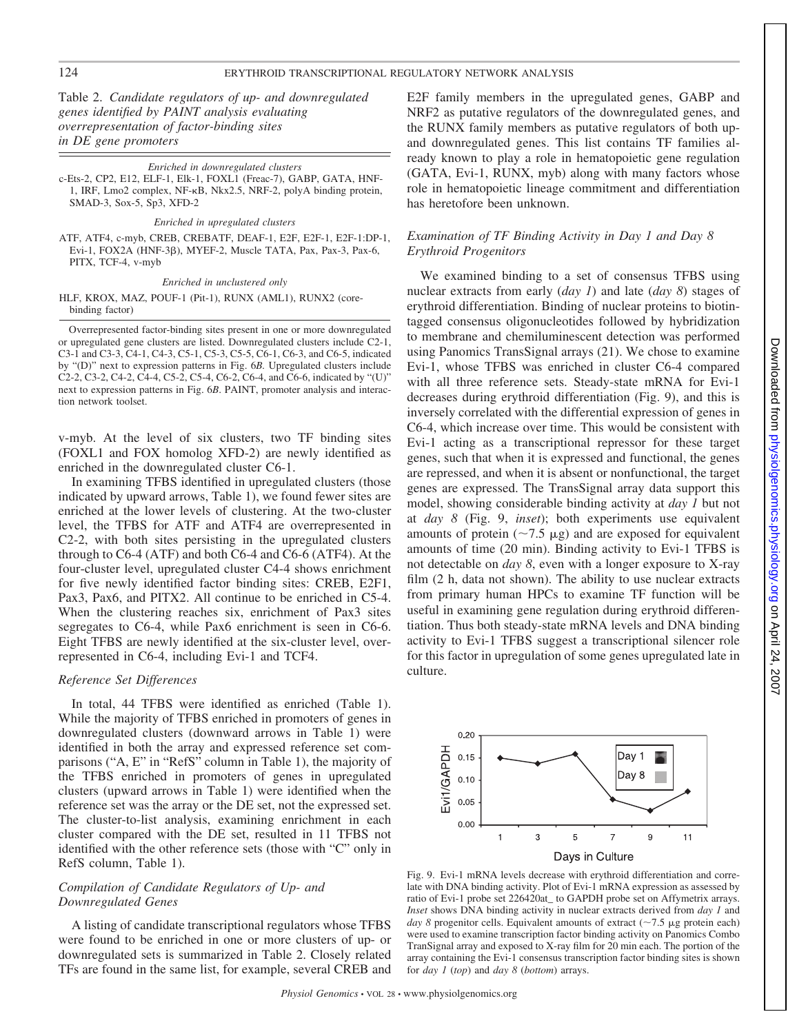Table 2. *Candidate regulators of up- and downregulated genes identified by PAINT analysis evaluating overrepresentation of factor-binding sites in DE gene promoters*

#### *Enriched in downregulated clusters*

c-Ets-2, CP2, E12, ELF-1, Elk-1, FOXL1 (Freac-7), GABP, GATA, HNF-1, IRF, Lmo2 complex, NF-KB, Nkx2.5, NRF-2, polyA binding protein, SMAD-3, Sox-5, Sp3, XFD-2

# *Enriched in upregulated clusters*

ATF, ATF4, c-myb, CREB, CREBATF, DEAF-1, E2F, E2F-1, E2F-1:DP-1, Evi-1, FOX2A (HNF-3ß), MYEF-2, Muscle TATA, Pax, Pax-3, Pax-6, PITX, TCF-4, v-myb

#### *Enriched in unclustered only*

HLF, KROX, MAZ, POUF-1 (Pit-1), RUNX (AML1), RUNX2 (corebinding factor)

Overrepresented factor-binding sites present in one or more downregulated or upregulated gene clusters are listed. Downregulated clusters include C2-1, C3-1 and C3-3, C4-1, C4-3, C5-1, C5-3, C5-5, C6-1, C6-3, and C6-5, indicated by "(D)" next to expression patterns in Fig. 6*B.* Upregulated clusters include C2-2, C3-2, C4-2, C4-4, C5-2, C5-4, C6-2, C6-4, and C6-6, indicated by "(U)" next to expression patterns in Fig. 6*B*. PAINT, promoter analysis and interaction network toolset.

v-myb. At the level of six clusters, two TF binding sites (FOXL1 and FOX homolog XFD-2) are newly identified as enriched in the downregulated cluster C6-1.

In examining TFBS identified in upregulated clusters (those indicated by upward arrows, Table 1), we found fewer sites are enriched at the lower levels of clustering. At the two-cluster level, the TFBS for ATF and ATF4 are overrepresented in C2-2, with both sites persisting in the upregulated clusters through to C6-4 (ATF) and both C6-4 and C6-6 (ATF4). At the four-cluster level, upregulated cluster C4-4 shows enrichment for five newly identified factor binding sites: CREB, E2F1, Pax3, Pax6, and PITX2. All continue to be enriched in C5-4. When the clustering reaches six, enrichment of Pax3 sites segregates to C6-4, while Pax6 enrichment is seen in C6-6. Eight TFBS are newly identified at the six-cluster level, overrepresented in C6-4, including Evi-1 and TCF4.

# *Reference Set Differences*

In total, 44 TFBS were identified as enriched (Table 1). While the majority of TFBS enriched in promoters of genes in downregulated clusters (downward arrows in Table 1) were identified in both the array and expressed reference set comparisons ("A, E" in "RefS" column in Table 1), the majority of the TFBS enriched in promoters of genes in upregulated clusters (upward arrows in Table 1) were identified when the reference set was the array or the DE set, not the expressed set. The cluster-to-list analysis, examining enrichment in each cluster compared with the DE set, resulted in 11 TFBS not identified with the other reference sets (those with "C" only in RefS column, Table 1).

# *Compilation of Candidate Regulators of Up- and Downregulated Genes*

A listing of candidate transcriptional regulators whose TFBS were found to be enriched in one or more clusters of up- or downregulated sets is summarized in Table 2. Closely related TFs are found in the same list, for example, several CREB and E2F family members in the upregulated genes, GABP and NRF2 as putative regulators of the downregulated genes, and the RUNX family members as putative regulators of both upand downregulated genes. This list contains TF families already known to play a role in hematopoietic gene regulation (GATA, Evi-1, RUNX, myb) along with many factors whose role in hematopoietic lineage commitment and differentiation has heretofore been unknown.

# *Examination of TF Binding Activity in Day 1 and Day 8 Erythroid Progenitors*

We examined binding to a set of consensus TFBS using nuclear extracts from early (*day 1*) and late (*day 8*) stages of erythroid differentiation. Binding of nuclear proteins to biotintagged consensus oligonucleotides followed by hybridization to membrane and chemiluminescent detection was performed using Panomics TransSignal arrays (21). We chose to examine Evi-1, whose TFBS was enriched in cluster C6-4 compared with all three reference sets. Steady-state mRNA for Evi-1 decreases during erythroid differentiation (Fig. 9), and this is inversely correlated with the differential expression of genes in C6-4, which increase over time. This would be consistent with Evi-1 acting as a transcriptional repressor for these target genes, such that when it is expressed and functional, the genes are repressed, and when it is absent or nonfunctional, the target genes are expressed. The TransSignal array data support this model, showing considerable binding activity at *day 1* but not at *day 8* (Fig. 9, *inset*); both experiments use equivalent amounts of protein ( $\sim$ 7.5  $\mu$ g) and are exposed for equivalent amounts of time (20 min). Binding activity to Evi-1 TFBS is not detectable on *day 8*, even with a longer exposure to X-ray film (2 h, data not shown). The ability to use nuclear extracts from primary human HPCs to examine TF function will be useful in examining gene regulation during erythroid differentiation. Thus both steady-state mRNA levels and DNA binding activity to Evi-1 TFBS suggest a transcriptional silencer role for this factor in upregulation of some genes upregulated late in culture.



Fig. 9. Evi-1 mRNA levels decrease with erythroid differentiation and correlate with DNA binding activity. Plot of Evi-1 mRNA expression as assessed by ratio of Evi-1 probe set 226420at\_ to GAPDH probe set on Affymetrix arrays. *Inset* shows DNA binding activity in nuclear extracts derived from *day 1* and *day 8* progenitor cells. Equivalent amounts of extract ( $\sim$ 7.5 µg protein each) were used to examine transcription factor binding activity on Panomics Combo TranSignal array and exposed to X-ray film for 20 min each. The portion of the array containing the Evi-1 consensus transcription factor binding sites is shown for *day 1* (*top*) and *day 8* (*bottom*) arrays.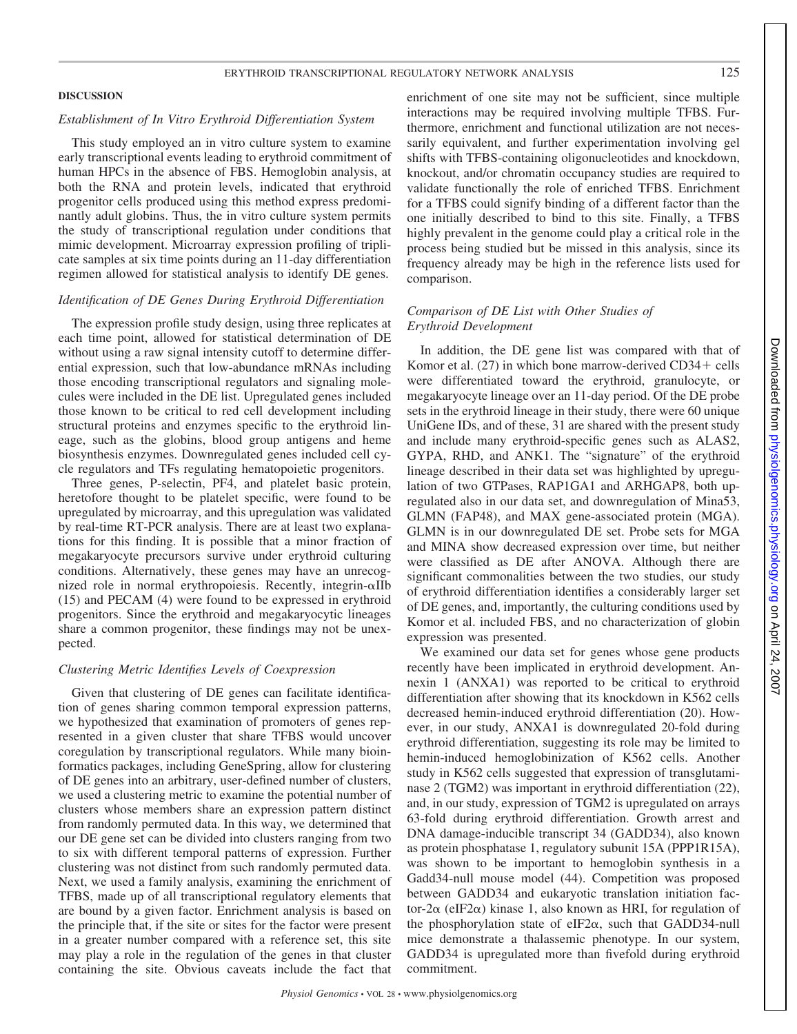# **DISCUSSION**

# *Establishment of In Vitro Erythroid Differentiation System*

This study employed an in vitro culture system to examine early transcriptional events leading to erythroid commitment of human HPCs in the absence of FBS. Hemoglobin analysis, at both the RNA and protein levels, indicated that erythroid progenitor cells produced using this method express predominantly adult globins. Thus, the in vitro culture system permits the study of transcriptional regulation under conditions that mimic development. Microarray expression profiling of triplicate samples at six time points during an 11-day differentiation regimen allowed for statistical analysis to identify DE genes.

# *Identification of DE Genes During Erythroid Differentiation*

The expression profile study design, using three replicates at each time point, allowed for statistical determination of DE without using a raw signal intensity cutoff to determine differential expression, such that low-abundance mRNAs including those encoding transcriptional regulators and signaling molecules were included in the DE list. Upregulated genes included those known to be critical to red cell development including structural proteins and enzymes specific to the erythroid lineage, such as the globins, blood group antigens and heme biosynthesis enzymes. Downregulated genes included cell cycle regulators and TFs regulating hematopoietic progenitors.

Three genes, P-selectin, PF4, and platelet basic protein, heretofore thought to be platelet specific, were found to be upregulated by microarray, and this upregulation was validated by real-time RT-PCR analysis. There are at least two explanations for this finding. It is possible that a minor fraction of megakaryocyte precursors survive under erythroid culturing conditions. Alternatively, these genes may have an unrecognized role in normal erythropoiesis. Recently, integrin- $\alpha$ IIb (15) and PECAM (4) were found to be expressed in erythroid progenitors. Since the erythroid and megakaryocytic lineages share a common progenitor, these findings may not be unexpected.

# *Clustering Metric Identifies Levels of Coexpression*

Given that clustering of DE genes can facilitate identification of genes sharing common temporal expression patterns, we hypothesized that examination of promoters of genes represented in a given cluster that share TFBS would uncover coregulation by transcriptional regulators. While many bioinformatics packages, including GeneSpring, allow for clustering of DE genes into an arbitrary, user-defined number of clusters, we used a clustering metric to examine the potential number of clusters whose members share an expression pattern distinct from randomly permuted data. In this way, we determined that our DE gene set can be divided into clusters ranging from two to six with different temporal patterns of expression. Further clustering was not distinct from such randomly permuted data. Next, we used a family analysis, examining the enrichment of TFBS, made up of all transcriptional regulatory elements that are bound by a given factor. Enrichment analysis is based on the principle that, if the site or sites for the factor were present in a greater number compared with a reference set, this site may play a role in the regulation of the genes in that cluster containing the site. Obvious caveats include the fact that enrichment of one site may not be sufficient, since multiple interactions may be required involving multiple TFBS. Furthermore, enrichment and functional utilization are not necessarily equivalent, and further experimentation involving gel shifts with TFBS-containing oligonucleotides and knockdown, knockout, and/or chromatin occupancy studies are required to validate functionally the role of enriched TFBS. Enrichment for a TFBS could signify binding of a different factor than the one initially described to bind to this site. Finally, a TFBS highly prevalent in the genome could play a critical role in the process being studied but be missed in this analysis, since its frequency already may be high in the reference lists used for comparison.

# *Comparison of DE List with Other Studies of Erythroid Development*

In addition, the DE gene list was compared with that of Komor et al.  $(27)$  in which bone marrow-derived CD34+ cells were differentiated toward the erythroid, granulocyte, or megakaryocyte lineage over an 11-day period. Of the DE probe sets in the erythroid lineage in their study, there were 60 unique UniGene IDs, and of these, 31 are shared with the present study and include many erythroid-specific genes such as ALAS2, GYPA, RHD, and ANK1. The "signature" of the erythroid lineage described in their data set was highlighted by upregulation of two GTPases, RAP1GA1 and ARHGAP8, both upregulated also in our data set, and downregulation of Mina53, GLMN (FAP48), and MAX gene-associated protein (MGA). GLMN is in our downregulated DE set. Probe sets for MGA and MINA show decreased expression over time, but neither were classified as DE after ANOVA. Although there are significant commonalities between the two studies, our study of erythroid differentiation identifies a considerably larger set of DE genes, and, importantly, the culturing conditions used by Komor et al. included FBS, and no characterization of globin expression was presented.

We examined our data set for genes whose gene products recently have been implicated in erythroid development. Annexin 1 (ANXA1) was reported to be critical to erythroid differentiation after showing that its knockdown in K562 cells decreased hemin-induced erythroid differentiation (20). However, in our study, ANXA1 is downregulated 20-fold during erythroid differentiation, suggesting its role may be limited to hemin-induced hemoglobinization of K562 cells. Another study in K562 cells suggested that expression of transglutaminase 2 (TGM2) was important in erythroid differentiation (22), and, in our study, expression of TGM2 is upregulated on arrays 63-fold during erythroid differentiation. Growth arrest and DNA damage-inducible transcript 34 (GADD34), also known as protein phosphatase 1, regulatory subunit 15A (PPP1R15A), was shown to be important to hemoglobin synthesis in a Gadd34-null mouse model (44). Competition was proposed between GADD34 and eukaryotic translation initiation factor-2 $\alpha$  (eIF2 $\alpha$ ) kinase 1, also known as HRI, for regulation of the phosphorylation state of eIF2 $\alpha$ , such that GADD34-null mice demonstrate a thalassemic phenotype. In our system, GADD34 is upregulated more than fivefold during erythroid commitment.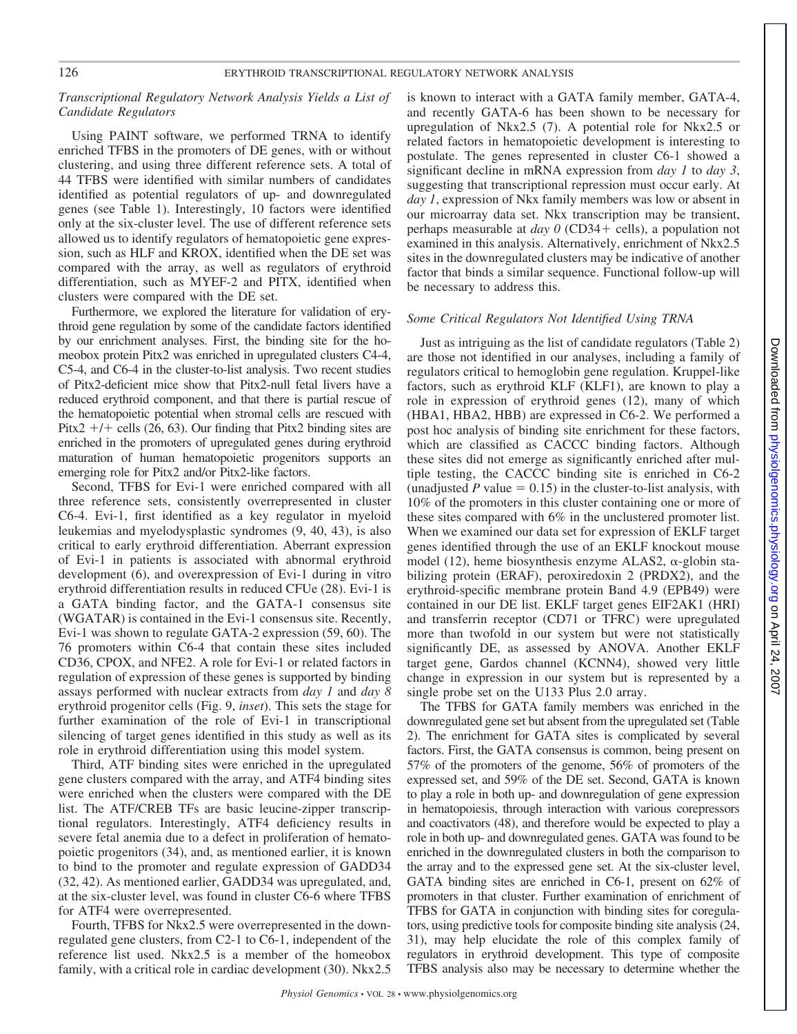# *Transcriptional Regulatory Network Analysis Yields a List of Candidate Regulators*

Using PAINT software, we performed TRNA to identify enriched TFBS in the promoters of DE genes, with or without clustering, and using three different reference sets. A total of 44 TFBS were identified with similar numbers of candidates identified as potential regulators of up- and downregulated genes (see Table 1). Interestingly, 10 factors were identified only at the six-cluster level. The use of different reference sets allowed us to identify regulators of hematopoietic gene expression, such as HLF and KROX, identified when the DE set was compared with the array, as well as regulators of erythroid differentiation, such as MYEF-2 and PITX, identified when clusters were compared with the DE set.

Furthermore, we explored the literature for validation of erythroid gene regulation by some of the candidate factors identified by our enrichment analyses. First, the binding site for the homeobox protein Pitx2 was enriched in upregulated clusters C4-4, C5-4, and C6-4 in the cluster-to-list analysis. Two recent studies of Pitx2-deficient mice show that Pitx2-null fetal livers have a reduced erythroid component, and that there is partial rescue of the hematopoietic potential when stromal cells are rescued with Pitx2  $+/+$  cells (26, 63). Our finding that Pitx2 binding sites are enriched in the promoters of upregulated genes during erythroid maturation of human hematopoietic progenitors supports an emerging role for Pitx2 and/or Pitx2-like factors.

Second, TFBS for Evi-1 were enriched compared with all three reference sets, consistently overrepresented in cluster C6-4. Evi-1, first identified as a key regulator in myeloid leukemias and myelodysplastic syndromes (9, 40, 43), is also critical to early erythroid differentiation. Aberrant expression of Evi-1 in patients is associated with abnormal erythroid development (6), and overexpression of Evi-1 during in vitro erythroid differentiation results in reduced CFUe (28). Evi-1 is a GATA binding factor, and the GATA-1 consensus site (WGATAR) is contained in the Evi-1 consensus site. Recently, Evi-1 was shown to regulate GATA-2 expression (59, 60). The 76 promoters within C6-4 that contain these sites included CD36, CPOX, and NFE2. A role for Evi-1 or related factors in regulation of expression of these genes is supported by binding assays performed with nuclear extracts from *day 1* and *day 8* erythroid progenitor cells (Fig. 9, *inset*). This sets the stage for further examination of the role of Evi-1 in transcriptional silencing of target genes identified in this study as well as its role in erythroid differentiation using this model system.

Third, ATF binding sites were enriched in the upregulated gene clusters compared with the array, and ATF4 binding sites were enriched when the clusters were compared with the DE list. The ATF/CREB TFs are basic leucine-zipper transcriptional regulators. Interestingly, ATF4 deficiency results in severe fetal anemia due to a defect in proliferation of hematopoietic progenitors (34), and, as mentioned earlier, it is known to bind to the promoter and regulate expression of GADD34 (32, 42). As mentioned earlier, GADD34 was upregulated, and, at the six-cluster level, was found in cluster C6-6 where TFBS for ATF4 were overrepresented.

Fourth, TFBS for Nkx2.5 were overrepresented in the downregulated gene clusters, from C2-1 to C6-1, independent of the reference list used. Nkx2.5 is a member of the homeobox family, with a critical role in cardiac development (30). Nkx2.5 is known to interact with a GATA family member, GATA-4, and recently GATA-6 has been shown to be necessary for upregulation of Nkx2.5 (7). A potential role for Nkx2.5 or related factors in hematopoietic development is interesting to postulate. The genes represented in cluster C6-1 showed a significant decline in mRNA expression from *day 1* to *day 3*, suggesting that transcriptional repression must occur early. At *day 1*, expression of Nkx family members was low or absent in our microarray data set. Nkx transcription may be transient, perhaps measurable at *day 0* (CD34+ cells), a population not examined in this analysis. Alternatively, enrichment of Nkx2.5 sites in the downregulated clusters may be indicative of another factor that binds a similar sequence. Functional follow-up will be necessary to address this.

# *Some Critical Regulators Not Identified Using TRNA*

Just as intriguing as the list of candidate regulators (Table 2) are those not identified in our analyses, including a family of regulators critical to hemoglobin gene regulation. Kruppel-like factors, such as erythroid KLF (KLF1), are known to play a role in expression of erythroid genes (12), many of which (HBA1, HBA2, HBB) are expressed in C6-2. We performed a post hoc analysis of binding site enrichment for these factors, which are classified as CACCC binding factors. Although these sites did not emerge as significantly enriched after multiple testing, the CACCC binding site is enriched in C6-2 (unadjusted  $P$  value  $= 0.15$ ) in the cluster-to-list analysis, with 10% of the promoters in this cluster containing one or more of these sites compared with 6% in the unclustered promoter list. When we examined our data set for expression of EKLF target genes identified through the use of an EKLF knockout mouse model (12), heme biosynthesis enzyme ALAS2,  $\alpha$ -globin stabilizing protein (ERAF), peroxiredoxin 2 (PRDX2), and the erythroid-specific membrane protein Band 4.9 (EPB49) were contained in our DE list. EKLF target genes EIF2AK1 (HRI) and transferrin receptor (CD71 or TFRC) were upregulated more than twofold in our system but were not statistically significantly DE, as assessed by ANOVA. Another EKLF target gene, Gardos channel (KCNN4), showed very little change in expression in our system but is represented by a single probe set on the U133 Plus 2.0 array.

The TFBS for GATA family members was enriched in the downregulated gene set but absent from the upregulated set (Table 2). The enrichment for GATA sites is complicated by several factors. First, the GATA consensus is common, being present on 57% of the promoters of the genome, 56% of promoters of the expressed set, and 59% of the DE set. Second, GATA is known to play a role in both up- and downregulation of gene expression in hematopoiesis, through interaction with various corepressors and coactivators (48), and therefore would be expected to play a role in both up- and downregulated genes. GATA was found to be enriched in the downregulated clusters in both the comparison to the array and to the expressed gene set. At the six-cluster level, GATA binding sites are enriched in C6-1, present on 62% of promoters in that cluster. Further examination of enrichment of TFBS for GATA in conjunction with binding sites for coregulators, using predictive tools for composite binding site analysis (24, 31), may help elucidate the role of this complex family of regulators in erythroid development. This type of composite TFBS analysis also may be necessary to determine whether the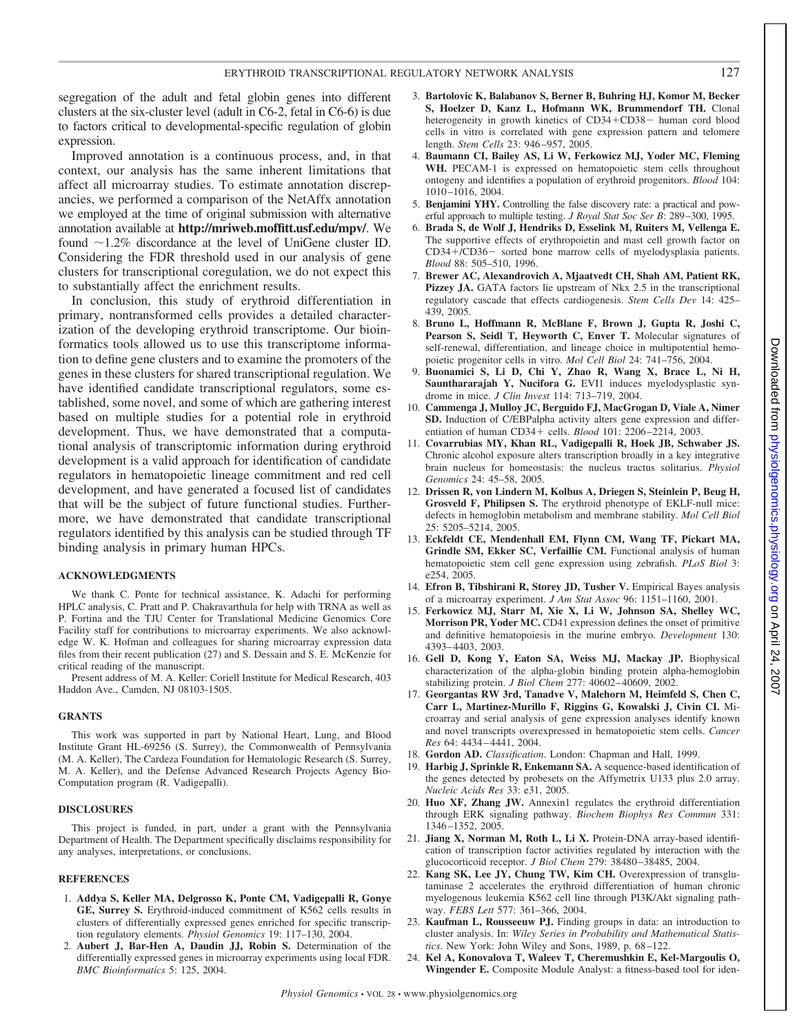segregation of the adult and fetal globin genes into different clusters at the six-cluster level (adult in C6-2, fetal in C6-6) is due to factors critical to developmental-specific regulation of globin expression.

Improved annotation is a continuous process, and, in that context, our analysis has the same inherent limitations that affect all microarray studies. To estimate annotation discrepancies, we performed a comparison of the NetAffx annotation we employed at the time of original submission with alternative annotation available at **http://mriweb.moffitt.usf.edu/mpv/**. We found  $\sim$ 1.2% discordance at the level of UniGene cluster ID. Considering the FDR threshold used in our analysis of gene clusters for transcriptional coregulation, we do not expect this to substantially affect the enrichment results.

In conclusion, this study of erythroid differentiation in primary, nontransformed cells provides a detailed characterization of the developing erythroid transcriptome. Our bioinformatics tools allowed us to use this transcriptome information to define gene clusters and to examine the promoters of the genes in these clusters for shared transcriptional regulation. We have identified candidate transcriptional regulators, some established, some novel, and some of which are gathering interest based on multiple studies for a potential role in erythroid development. Thus, we have demonstrated that a computational analysis of transcriptomic information during erythroid development is a valid approach for identification of candidate regulators in hematopoietic lineage commitment and red cell development, and have generated a focused list of candidates that will be the subject of future functional studies. Furthermore, we have demonstrated that candidate transcriptional regulators identified by this analysis can be studied through TF binding analysis in primary human HPCs.

# **ACKNOWLEDGMENTS**

We thank C. Ponte for technical assistance, K. Adachi for performing HPLC analysis, C. Pratt and P. Chakravarthula for help with TRNA as well as P. Fortina and the TJU Center for Translational Medicine Genomics Core Facility staff for contributions to microarray experiments. We also acknowledge W. K. Hofman and colleagues for sharing microarray expression data files from their recent publication (27) and S. Dessain and S. E. McKenzie for critical reading of the manuscript.

Present address of M. A. Keller: Coriell Institute for Medical Research, 403 Haddon Ave., Camden, NJ 08103-1505.

#### **GRANTS**

This work was supported in part by National Heart, Lung, and Blood Institute Grant HL-69256 (S. Surrey), the Commonwealth of Pennsylvania (M. A. Keller), The Cardeza Foundation for Hematologic Research (S. Surrey, M. A. Keller), and the Defense Advanced Research Projects Agency Bio-Computation program (R. Vadigepalli).

# **DISCLOSURES**

This project is funded, in part, under a grant with the Pennsylvania Department of Health. The Department specifically disclaims responsibility for any analyses, interpretations, or conclusions.

# **REFERENCES**

- 1. **Addya S, Keller MA, Delgrosso K, Ponte CM, Vadigepalli R, Gonye GE, Surrey S.** Erythroid-induced commitment of K562 cells results in clusters of differentially expressed genes enriched for specific transcription regulatory elements. *Physiol Genomics* 19: 117–130, 2004.
- 2. **Aubert J, Bar-Hen A, Daudin JJ, Robin S.** Determination of the differentially expressed genes in microarray experiments using local FDR. *BMC Bioinformatics* 5: 125, 2004.
- 3. **Bartolovic K, Balabanov S, Berner B, Buhring HJ, Komor M, Becker S, Hoelzer D, Kanz L, Hofmann WK, Brummendorf TH.** Clonal heterogeneity in growth kinetics of CD34+CD38- human cord blood cells in vitro is correlated with gene expression pattern and telomere length. *Stem Cells* 23: 946 –957, 2005.
- 4. **Baumann CI, Bailey AS, Li W, Ferkowicz MJ, Yoder MC, Fleming** WH. PECAM-1 is expressed on hematopoietic stem cells throughout ontogeny and identifies a population of erythroid progenitors. *Blood* 104: 1010 –1016, 2004.
- 5. **Benjamini YHY.** Controlling the false discovery rate: a practical and powerful approach to multiple testing. *J Royal Stat Soc Ser B*: 289 –300, 1995.
- 6. **Brada S, de Wolf J, Hendriks D, Esselink M, Ruiters M, Vellenga E.** The supportive effects of erythropoietin and mast cell growth factor on CD34+/CD36- sorted bone marrow cells of myelodysplasia patients. *Blood* 88: 505–510, 1996.
- 7. **Brewer AC, Alexandrovich A, Mjaatvedt CH, Shah AM, Patient RK, Pizzey JA.** GATA factors lie upstream of Nkx 2.5 in the transcriptional regulatory cascade that effects cardiogenesis. *Stem Cells Dev* 14: 425– 439, 2005.
- 8. **Bruno L, Hoffmann R, McBlane F, Brown J, Gupta R, Joshi C, Pearson S, Seidl T, Heyworth C, Enver T.** Molecular signatures of self-renewal, differentiation, and lineage choice in multipotential hemopoietic progenitor cells in vitro. *Mol Cell Biol* 24: 741–756, 2004.
- 9. **Buonamici S, Li D, Chi Y, Zhao R, Wang X, Brace L, Ni H, Saunthararajah Y, Nucifora G.** EVI1 induces myelodysplastic syndrome in mice. *J Clin Invest* 114: 713–719, 2004.
- 10. **Cammenga J, Mulloy JC, Berguido FJ, MacGrogan D, Viale A, Nimer SD.** Induction of C/EBPalpha activity alters gene expression and differentiation of human CD34+ cells. *Blood* 101: 2206-2214, 2003.
- 11. **Covarrubias MY, Khan RL, Vadigepalli R, Hoek JB, Schwaber JS.** Chronic alcohol exposure alters transcription broadly in a key integrative brain nucleus for homeostasis: the nucleus tractus solitarius. *Physiol Genomics* 24: 45–58, 2005.
- 12. **Drissen R, von Lindern M, Kolbus A, Driegen S, Steinlein P, Beug H, Grosveld F, Philipsen S.** The erythroid phenotype of EKLF-null mice: defects in hemoglobin metabolism and membrane stability. *Mol Cell Biol* 25: 5205–5214, 2005.
- 13. **Eckfeldt CE, Mendenhall EM, Flynn CM, Wang TF, Pickart MA, Grindle SM, Ekker SC, Verfaillie CM.** Functional analysis of human hematopoietic stem cell gene expression using zebrafish. *PLoS Biol* 3: e254, 2005.
- 14. **Efron B, Tibshirani R, Storey JD, Tusher V.** Empirical Bayes analysis of a microarray experiment. *J Am Stat Assoc* 96: 1151–1160, 2001.
- 15. **Ferkowicz MJ, Starr M, Xie X, Li W, Johnson SA, Shelley WC, Morrison PR, Yoder MC.** CD41 expression defines the onset of primitive and definitive hematopoiesis in the murine embryo. *Development* 130: 4393– 4403, 2003.
- 16. **Gell D, Kong Y, Eaton SA, Weiss MJ, Mackay JP.** Biophysical characterization of the alpha-globin binding protein alpha-hemoglobin stabilizing protein. *J Biol Chem* 277: 40602– 40609, 2002.
- 17. **Georgantas RW 3rd, Tanadve V, Malehorn M, Heimfeld S, Chen C, Carr L, Martinez-Murillo F, Riggins G, Kowalski J, Civin CI.** Microarray and serial analysis of gene expression analyses identify known and novel transcripts overexpressed in hematopoietic stem cells. *Cancer Res* 64: 4434 – 4441, 2004.
- 18. **Gordon AD.** *Classification*. London: Chapman and Hall, 1999.
- 19. **Harbig J, Sprinkle R, Enkemann SA.** A sequence-based identification of the genes detected by probesets on the Affymetrix U133 plus 2.0 array. *Nucleic Acids Res* 33: e31, 2005.
- 20. **Huo XF, Zhang JW.** Annexin1 regulates the erythroid differentiation through ERK signaling pathway. *Biochem Biophys Res Commun* 331: 1346 –1352, 2005.
- 21. **Jiang X, Norman M, Roth L, Li X.** Protein-DNA array-based identification of transcription factor activities regulated by interaction with the glucocorticoid receptor. *J Biol Chem* 279: 38480 –38485, 2004.
- 22. **Kang SK, Lee JY, Chung TW, Kim CH.** Overexpression of transglutaminase 2 accelerates the erythroid differentiation of human chronic myelogenous leukemia K562 cell line through PI3K/Akt signaling pathway. *FEBS Lett* 577: 361–366, 2004.
- 23. **Kaufman L, Rousseeuw PJ.** Finding groups in data: an introduction to cluster analysis. In: *Wiley Series in Probability and Mathematical Statistics*. New York: John Wiley and Sons, 1989, p. 68 –122.
- 24. **Kel A, Konovalova T, Waleev T, Cheremushkin E, Kel-Margoulis O, Wingender E.** Composite Module Analyst: a fitness-based tool for iden-